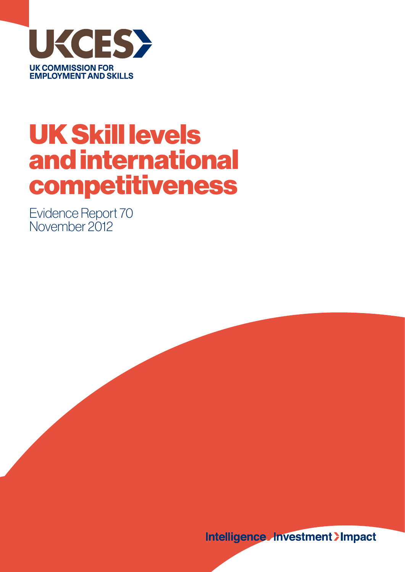

# UK Skill levels and international competitiveness

Evidence Report 70 November 2012

**Intelligence Hnvestment >Impact**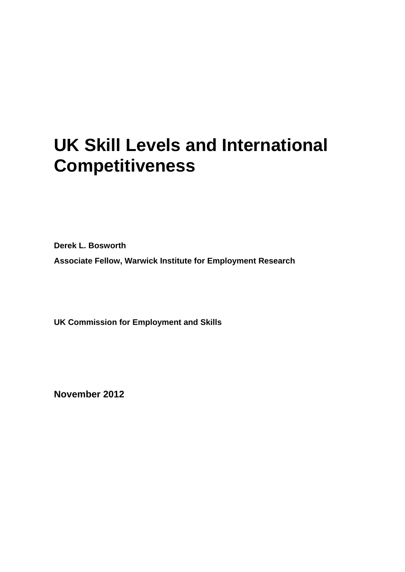# **UK Skill Levels and International Competitiveness**

**Derek L. Bosworth Associate Fellow, Warwick Institute for Employment Research** 

**UK Commission for Employment and Skills** 

**November 2012**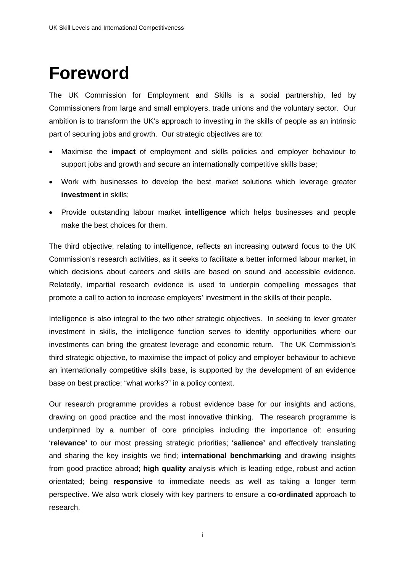# **Foreword**

The UK Commission for Employment and Skills is a social partnership, led by Commissioners from large and small employers, trade unions and the voluntary sector. Our ambition is to transform the UK's approach to investing in the skills of people as an intrinsic part of securing jobs and growth. Our strategic objectives are to:

- Maximise the **impact** of employment and skills policies and employer behaviour to support jobs and growth and secure an internationally competitive skills base;
- Work with businesses to develop the best market solutions which leverage greater **investment** in skills;
- Provide outstanding labour market **intelligence** which helps businesses and people make the best choices for them.

The third objective, relating to intelligence, reflects an increasing outward focus to the UK Commission's research activities, as it seeks to facilitate a better informed labour market, in which decisions about careers and skills are based on sound and accessible evidence. Relatedly, impartial research evidence is used to underpin compelling messages that promote a call to action to increase employers' investment in the skills of their people.

Intelligence is also integral to the two other strategic objectives. In seeking to lever greater investment in skills, the intelligence function serves to identify opportunities where our investments can bring the greatest leverage and economic return. The UK Commission's third strategic objective, to maximise the impact of policy and employer behaviour to achieve an internationally competitive skills base, is supported by the development of an evidence base on best practice: "what works?" in a policy context.

Our research programme provides a robust evidence base for our insights and actions, drawing on good practice and the most innovative thinking. The research programme is underpinned by a number of core principles including the importance of: ensuring '**relevance'** to our most pressing strategic priorities; '**salience'** and effectively translating and sharing the key insights we find; **international benchmarking** and drawing insights from good practice abroad; **high quality** analysis which is leading edge, robust and action orientated; being **responsive** to immediate needs as well as taking a longer term perspective. We also work closely with key partners to ensure a **co-ordinated** approach to research.

i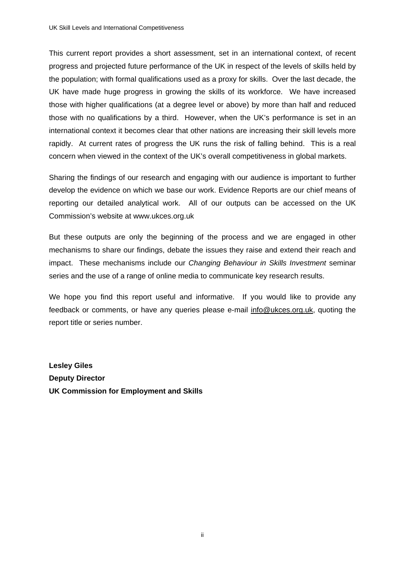This current report provides a short assessment, set in an international context, of recent progress and projected future performance of the UK in respect of the levels of skills held by the population; with formal qualifications used as a proxy for skills. Over the last decade, the UK have made huge progress in growing the skills of its workforce. We have increased those with higher qualifications (at a degree level or above) by more than half and reduced those with no qualifications by a third. However, when the UK's performance is set in an international context it becomes clear that other nations are increasing their skill levels more rapidly. At current rates of progress the UK runs the risk of falling behind. This is a real concern when viewed in the context of the UK's overall competitiveness in global markets.

Sharing the findings of our research and engaging with our audience is important to further develop the evidence on which we base our work. Evidence Reports are our chief means of reporting our detailed analytical work. All of our outputs can be accessed on the UK Commission's website at www.ukces.org.uk

But these outputs are only the beginning of the process and we are engaged in other mechanisms to share our findings, debate the issues they raise and extend their reach and impact. These mechanisms include our *Changing Behaviour in Skills Investment* seminar series and the use of a range of online media to communicate key research results.

We hope you find this report useful and informative. If you would like to provide any feedback or comments, or have any queries please e-mail info@ukces.org.uk, quoting the report title or series number.

**Lesley Giles Deputy Director UK Commission for Employment and Skills**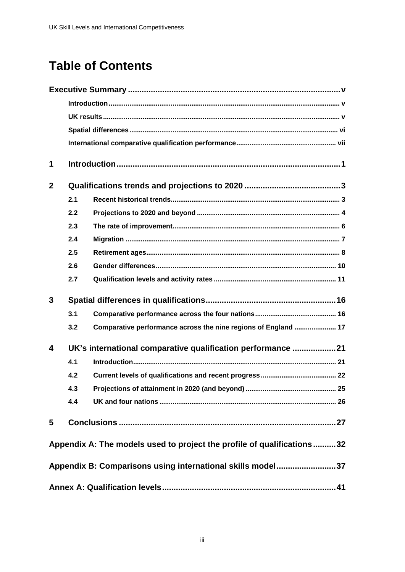# **Table of Contents**

| 1            |     |                                                                        |  |  |  |  |  |  |  |  |
|--------------|-----|------------------------------------------------------------------------|--|--|--|--|--|--|--|--|
| $\mathbf{2}$ |     |                                                                        |  |  |  |  |  |  |  |  |
|              | 2.1 |                                                                        |  |  |  |  |  |  |  |  |
|              | 2.2 |                                                                        |  |  |  |  |  |  |  |  |
|              | 2.3 |                                                                        |  |  |  |  |  |  |  |  |
|              | 2.4 |                                                                        |  |  |  |  |  |  |  |  |
|              | 2.5 |                                                                        |  |  |  |  |  |  |  |  |
|              | 2.6 |                                                                        |  |  |  |  |  |  |  |  |
|              | 2.7 |                                                                        |  |  |  |  |  |  |  |  |
| 3            |     |                                                                        |  |  |  |  |  |  |  |  |
|              | 3.1 |                                                                        |  |  |  |  |  |  |  |  |
|              | 3.2 | Comparative performance across the nine regions of England  17         |  |  |  |  |  |  |  |  |
| 4            |     | UK's international comparative qualification performance 21            |  |  |  |  |  |  |  |  |
|              | 4.1 |                                                                        |  |  |  |  |  |  |  |  |
|              | 4.2 |                                                                        |  |  |  |  |  |  |  |  |
|              | 4.3 |                                                                        |  |  |  |  |  |  |  |  |
|              | 4.4 |                                                                        |  |  |  |  |  |  |  |  |
| 5            |     |                                                                        |  |  |  |  |  |  |  |  |
|              |     | Appendix A: The models used to project the profile of qualifications32 |  |  |  |  |  |  |  |  |
|              |     | Appendix B: Comparisons using international skills model37             |  |  |  |  |  |  |  |  |
|              |     |                                                                        |  |  |  |  |  |  |  |  |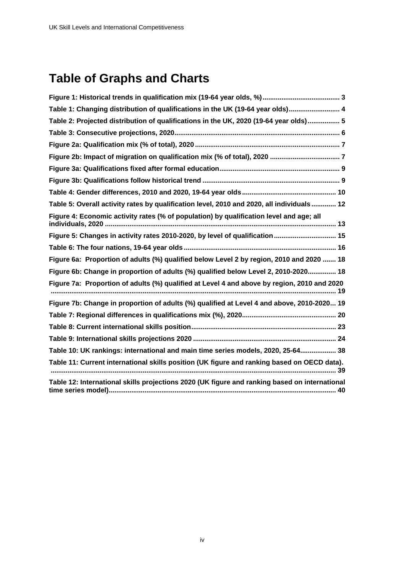# **Table of Graphs and Charts**

| Table 1: Changing distribution of qualifications in the UK (19-64 year olds) 4                    |
|---------------------------------------------------------------------------------------------------|
| Table 2: Projected distribution of qualifications in the UK, 2020 (19-64 year olds) 5             |
|                                                                                                   |
|                                                                                                   |
|                                                                                                   |
|                                                                                                   |
|                                                                                                   |
|                                                                                                   |
| Table 5: Overall activity rates by qualification level, 2010 and 2020, all individuals 12         |
| Figure 4: Economic activity rates (% of population) by qualification level and age; all           |
| Figure 5: Changes in activity rates 2010-2020, by level of qualification 15                       |
|                                                                                                   |
| Figure 6a: Proportion of adults (%) qualified below Level 2 by region, 2010 and 2020  18          |
| Figure 6b: Change in proportion of adults (%) qualified below Level 2, 2010-2020 18               |
| Figure 7a: Proportion of adults (%) qualified at Level 4 and above by region, 2010 and 2020       |
| Figure 7b: Change in proportion of adults (%) qualified at Level 4 and above, 2010-2020 19        |
|                                                                                                   |
|                                                                                                   |
|                                                                                                   |
| Table 10: UK rankings: international and main time series models, 2020, 25-64 38                  |
| Table 11: Current international skills position (UK figure and ranking based on OECD data).<br>39 |
| Table 12: International skills projections 2020 (UK figure and ranking based on international     |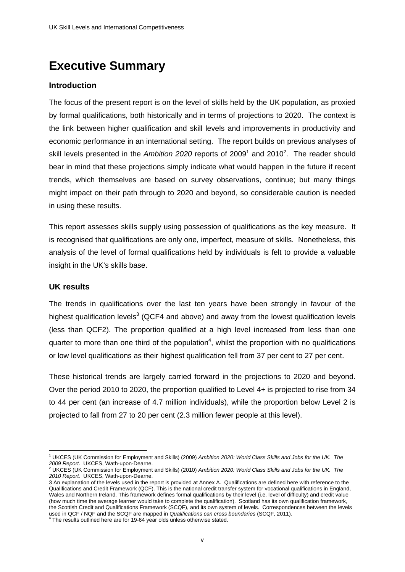# **Executive Summary**

## **Introduction**

The focus of the present report is on the level of skills held by the UK population, as proxied by formal qualifications, both historically and in terms of projections to 2020. The context is the link between higher qualification and skill levels and improvements in productivity and economic performance in an international setting. The report builds on previous analyses of skill levels presented in the Ambition 2020 reports of 2009<sup>1</sup> and 2010<sup>2</sup>. The reader should bear in mind that these projections simply indicate what would happen in the future if recent trends, which themselves are based on survey observations, continue; but many things might impact on their path through to 2020 and beyond, so considerable caution is needed in using these results.

This report assesses skills supply using possession of qualifications as the key measure. It is recognised that qualifications are only one, imperfect, measure of skills. Nonetheless, this analysis of the level of formal qualifications held by individuals is felt to provide a valuable insight in the UK's skills base.

### **UK results**

The trends in qualifications over the last ten years have been strongly in favour of the highest qualification levels $3$  (QCF4 and above) and away from the lowest qualification levels (less than QCF2). The proportion qualified at a high level increased from less than one quarter to more than one third of the population<sup>4</sup>, whilst the proportion with no qualifications or low level qualifications as their highest qualification fell from 37 per cent to 27 per cent.

These historical trends are largely carried forward in the projections to 2020 and beyond. Over the period 2010 to 2020, the proportion qualified to Level 4+ is projected to rise from 34 to 44 per cent (an increase of 4.7 million individuals), while the proportion below Level 2 is projected to fall from 27 to 20 per cent (2.3 million fewer people at this level).

<sup>1</sup> 1 UKCES (UK Commission for Employment and Skills) (2009) *Ambition 2020: World Class Skills and Jobs for the UK. The* 

*<sup>2009</sup> Report.* UKCES, Wath-upon-Dearne. 2 UKCES (UK Commission for Employment and Skills) (2010) *Ambition 2020: World Class Skills and Jobs for the UK. The 2010 Report.* UKCES, Wath-upon-Dearne.

<sup>3</sup> An explanation of the levels used in the report is provided at Annex A. Qualifications are defined here with reference to the Qualifications and Credit Framework (QCF). This is the national credit transfer system for vocational qualifications in England, Wales and Northern Ireland. This framework defines formal qualifications by their level (i.e. level of difficulty) and credit value (how much time the average learner would take to complete the qualification). Scotland has its own qualification framework, the Scottish Credit and Qualifications Framework (SCQF), and its own system of levels. Correspondences between the levels used in QCF / NQF and the SCQF are mapped in *Qualifications can cross boundaries* (SCQF, 2011).<br><sup>4</sup> The results outlined here are for 19-64 year olds unless otherwise stated.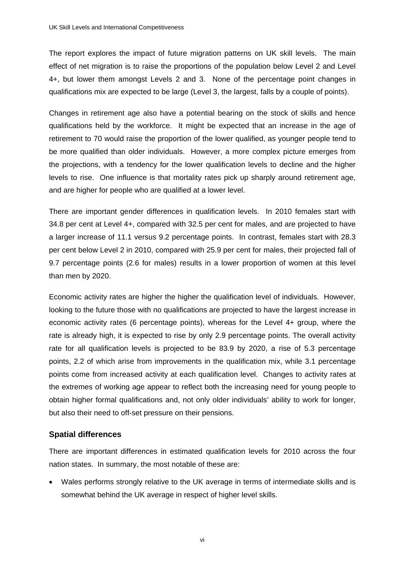The report explores the impact of future migration patterns on UK skill levels. The main effect of net migration is to raise the proportions of the population below Level 2 and Level 4+, but lower them amongst Levels 2 and 3. None of the percentage point changes in qualifications mix are expected to be large (Level 3, the largest, falls by a couple of points).

Changes in retirement age also have a potential bearing on the stock of skills and hence qualifications held by the workforce. It might be expected that an increase in the age of retirement to 70 would raise the proportion of the lower qualified, as younger people tend to be more qualified than older individuals. However, a more complex picture emerges from the projections, with a tendency for the lower qualification levels to decline and the higher levels to rise. One influence is that mortality rates pick up sharply around retirement age, and are higher for people who are qualified at a lower level.

There are important gender differences in qualification levels. In 2010 females start with 34.8 per cent at Level 4+, compared with 32.5 per cent for males, and are projected to have a larger increase of 11.1 versus 9.2 percentage points. In contrast, females start with 28.3 per cent below Level 2 in 2010, compared with 25.9 per cent for males, their projected fall of 9.7 percentage points (2.6 for males) results in a lower proportion of women at this level than men by 2020.

Economic activity rates are higher the higher the qualification level of individuals. However, looking to the future those with no qualifications are projected to have the largest increase in economic activity rates (6 percentage points), whereas for the Level 4+ group, where the rate is already high, it is expected to rise by only 2.9 percentage points. The overall activity rate for all qualification levels is projected to be 83.9 by 2020, a rise of 5.3 percentage points, 2.2 of which arise from improvements in the qualification mix, while 3.1 percentage points come from increased activity at each qualification level. Changes to activity rates at the extremes of working age appear to reflect both the increasing need for young people to obtain higher formal qualifications and, not only older individuals' ability to work for longer, but also their need to off-set pressure on their pensions.

## **Spatial differences**

There are important differences in estimated qualification levels for 2010 across the four nation states. In summary, the most notable of these are:

 Wales performs strongly relative to the UK average in terms of intermediate skills and is somewhat behind the UK average in respect of higher level skills.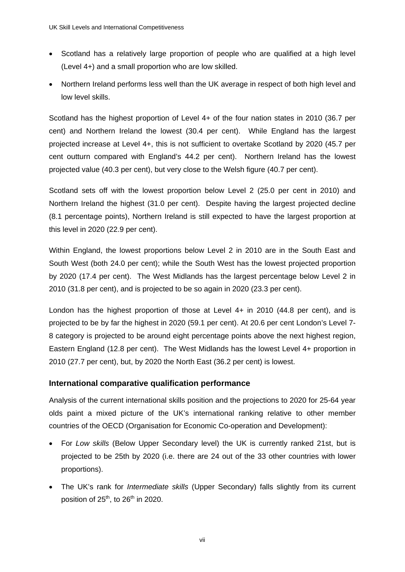- Scotland has a relatively large proportion of people who are qualified at a high level (Level 4+) and a small proportion who are low skilled.
- Northern Ireland performs less well than the UK average in respect of both high level and low level skills.

Scotland has the highest proportion of Level 4+ of the four nation states in 2010 (36.7 per cent) and Northern Ireland the lowest (30.4 per cent). While England has the largest projected increase at Level 4+, this is not sufficient to overtake Scotland by 2020 (45.7 per cent outturn compared with England's 44.2 per cent). Northern Ireland has the lowest projected value (40.3 per cent), but very close to the Welsh figure (40.7 per cent).

Scotland sets off with the lowest proportion below Level 2 (25.0 per cent in 2010) and Northern Ireland the highest (31.0 per cent). Despite having the largest projected decline (8.1 percentage points), Northern Ireland is still expected to have the largest proportion at this level in 2020 (22.9 per cent).

Within England, the lowest proportions below Level 2 in 2010 are in the South East and South West (both 24.0 per cent); while the South West has the lowest projected proportion by 2020 (17.4 per cent). The West Midlands has the largest percentage below Level 2 in 2010 (31.8 per cent), and is projected to be so again in 2020 (23.3 per cent).

London has the highest proportion of those at Level 4+ in 2010 (44.8 per cent), and is projected to be by far the highest in 2020 (59.1 per cent). At 20.6 per cent London's Level 7- 8 category is projected to be around eight percentage points above the next highest region, Eastern England (12.8 per cent). The West Midlands has the lowest Level 4+ proportion in 2010 (27.7 per cent), but, by 2020 the North East (36.2 per cent) is lowest.

## **International comparative qualification performance**

Analysis of the current international skills position and the projections to 2020 for 25-64 year olds paint a mixed picture of the UK's international ranking relative to other member countries of the OECD (Organisation for Economic Co-operation and Development):

- For *Low skills* (Below Upper Secondary level) the UK is currently ranked 21st, but is projected to be 25th by 2020 (i.e. there are 24 out of the 33 other countries with lower proportions).
- The UK's rank for *Intermediate skills* (Upper Secondary) falls slightly from its current position of  $25<sup>th</sup>$ , to  $26<sup>th</sup>$  in 2020.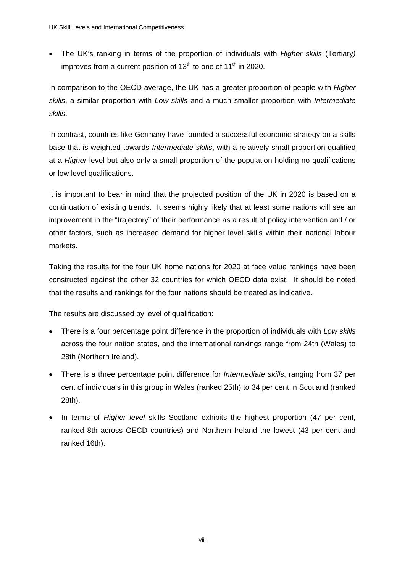The UK's ranking in terms of the proportion of individuals with *Higher skills* (Tertiary*)* improves from a current position of  $13<sup>th</sup>$  to one of  $11<sup>th</sup>$  in 2020.

In comparison to the OECD average, the UK has a greater proportion of people with *Higher skills*, a similar proportion with *Low skills* and a much smaller proportion with *Intermediate skills*.

In contrast, countries like Germany have founded a successful economic strategy on a skills base that is weighted towards *Intermediate skills*, with a relatively small proportion qualified at a *Higher* level but also only a small proportion of the population holding no qualifications or low level qualifications.

It is important to bear in mind that the projected position of the UK in 2020 is based on a continuation of existing trends. It seems highly likely that at least some nations will see an improvement in the "trajectory" of their performance as a result of policy intervention and / or other factors, such as increased demand for higher level skills within their national labour markets.

Taking the results for the four UK home nations for 2020 at face value rankings have been constructed against the other 32 countries for which OECD data exist. It should be noted that the results and rankings for the four nations should be treated as indicative.

The results are discussed by level of qualification:

- There is a four percentage point difference in the proportion of individuals with *Low skills* across the four nation states, and the international rankings range from 24th (Wales) to 28th (Northern Ireland).
- There is a three percentage point difference for *Intermediate skills*, ranging from 37 per cent of individuals in this group in Wales (ranked 25th) to 34 per cent in Scotland (ranked 28th).
- In terms of *Higher level* skills Scotland exhibits the highest proportion (47 per cent, ranked 8th across OECD countries) and Northern Ireland the lowest (43 per cent and ranked 16th).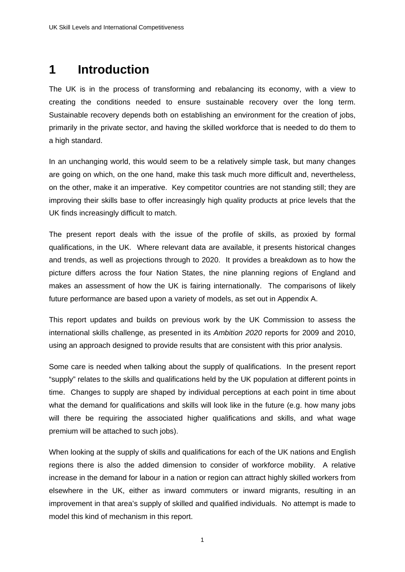# **1 Introduction**

The UK is in the process of transforming and rebalancing its economy, with a view to creating the conditions needed to ensure sustainable recovery over the long term. Sustainable recovery depends both on establishing an environment for the creation of jobs, primarily in the private sector, and having the skilled workforce that is needed to do them to a high standard.

In an unchanging world, this would seem to be a relatively simple task, but many changes are going on which, on the one hand, make this task much more difficult and, nevertheless, on the other, make it an imperative. Key competitor countries are not standing still; they are improving their skills base to offer increasingly high quality products at price levels that the UK finds increasingly difficult to match.

The present report deals with the issue of the profile of skills, as proxied by formal qualifications, in the UK. Where relevant data are available, it presents historical changes and trends, as well as projections through to 2020. It provides a breakdown as to how the picture differs across the four Nation States, the nine planning regions of England and makes an assessment of how the UK is fairing internationally. The comparisons of likely future performance are based upon a variety of models, as set out in Appendix A.

This report updates and builds on previous work by the UK Commission to assess the international skills challenge, as presented in its *Ambition 2020* reports for 2009 and 2010, using an approach designed to provide results that are consistent with this prior analysis.

Some care is needed when talking about the supply of qualifications. In the present report "supply" relates to the skills and qualifications held by the UK population at different points in time. Changes to supply are shaped by individual perceptions at each point in time about what the demand for qualifications and skills will look like in the future (e.g. how many jobs will there be requiring the associated higher qualifications and skills, and what wage premium will be attached to such jobs).

When looking at the supply of skills and qualifications for each of the UK nations and English regions there is also the added dimension to consider of workforce mobility. A relative increase in the demand for labour in a nation or region can attract highly skilled workers from elsewhere in the UK, either as inward commuters or inward migrants, resulting in an improvement in that area's supply of skilled and qualified individuals. No attempt is made to model this kind of mechanism in this report.

1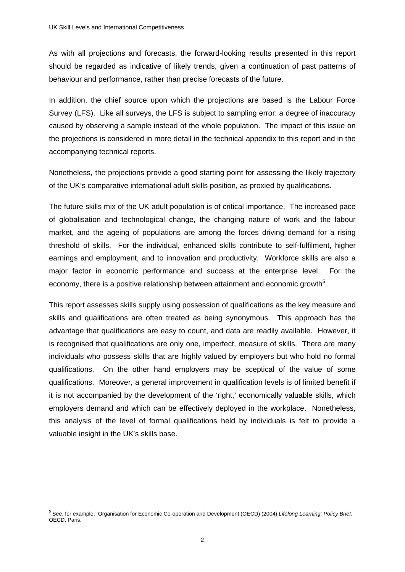As with all projections and forecasts, the forward-looking results presented in this report should be regarded as indicative of likely trends, given a continuation of past patterns of behaviour and performance, rather than precise forecasts of the future.

In addition, the chief source upon which the projections are based is the Labour Force Survey (LFS). Like all surveys, the LFS is subject to sampling error: a degree of inaccuracy caused by observing a sample instead of the whole population. The impact of this issue on the projections is considered in more detail in the technical appendix to this report and in the accompanying technical reports.

Nonetheless, the projections provide a good starting point for assessing the likely trajectory of the UK's comparative international adult skills position, as proxied by qualifications.

The future skills mix of the UK adult population is of critical importance. The increased pace of globalisation and technological change, the changing nature of work and the labour market, and the ageing of populations are among the forces driving demand for a rising threshold of skills. For the individual, enhanced skills contribute to self-fulfilment, higher earnings and employment, and to innovation and productivity. Workforce skills are also a major factor in economic performance and success at the enterprise level. For the economy, there is a positive relationship between attainment and economic growth $5$ .

This report assesses skills supply using possession of qualifications as the key measure and skills and qualifications are often treated as being synonymous. This approach has the advantage that qualifications are easy to count, and data are readily available. However, it is recognised that qualifications are only one, imperfect, measure of skills. There are many individuals who possess skills that are highly valued by employers but who hold no formal qualifications. On the other hand employers may be sceptical of the value of some qualifications. Moreover, a general improvement in qualification levels is of limited benefit if it is not accompanied by the development of the 'right,' economically valuable skills, which employers demand and which can be effectively deployed in the workplace. Nonetheless, this analysis of the level of formal qualifications held by individuals is felt to provide a valuable insight in the UK's skills base.

 5 See, for example, Organisation for Economic Co-operation and Development (OECD) (2004) *Lifelong Learning: Policy Brief*. OECD, Paris.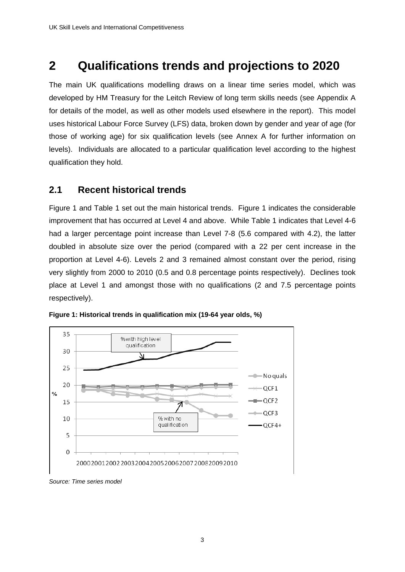# **2 Qualifications trends and projections to 2020**

The main UK qualifications modelling draws on a linear time series model, which was developed by HM Treasury for the Leitch Review of long term skills needs (see Appendix A for details of the model, as well as other models used elsewhere in the report). This model uses historical Labour Force Survey (LFS) data, broken down by gender and year of age (for those of working age) for six qualification levels (see Annex A for further information on levels). Individuals are allocated to a particular qualification level according to the highest qualification they hold.

# **2.1 Recent historical trends**

Figure 1 and Table 1 set out the main historical trends. Figure 1 indicates the considerable improvement that has occurred at Level 4 and above. While Table 1 indicates that Level 4-6 had a larger percentage point increase than Level 7-8 (5.6 compared with 4.2), the latter doubled in absolute size over the period (compared with a 22 per cent increase in the proportion at Level 4-6). Levels 2 and 3 remained almost constant over the period, rising very slightly from 2000 to 2010 (0.5 and 0.8 percentage points respectively). Declines took place at Level 1 and amongst those with no qualifications (2 and 7.5 percentage points respectively).





*Source: Time series model*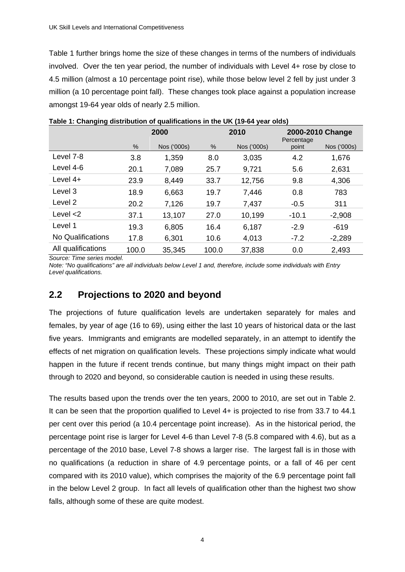Table 1 further brings home the size of these changes in terms of the numbers of individuals involved. Over the ten year period, the number of individuals with Level 4+ rose by close to 4.5 million (almost a 10 percentage point rise), while those below level 2 fell by just under 3 million (a 10 percentage point fall). These changes took place against a population increase amongst 19-64 year olds of nearly 2.5 million.

|                    |       | 2000        |       | 2010        | 2000-2010 Change<br>Percentage |             |  |
|--------------------|-------|-------------|-------|-------------|--------------------------------|-------------|--|
|                    | %     | Nos ('000s) | %     | Nos ('000s) | point                          | Nos ('000s) |  |
| Level 7-8          | 3.8   | 1,359       | 8.0   | 3,035       | 4.2                            | 1,676       |  |
| Level 4-6          | 20.1  | 7,089       | 25.7  | 9,721       | 5.6                            | 2,631       |  |
| Level $4+$         | 23.9  | 8,449       | 33.7  | 12,756      | 9.8                            | 4,306       |  |
| Level 3            | 18.9  | 6,663       | 19.7  | 7,446       | 0.8                            | 783         |  |
| Level 2            | 20.2  | 7,126       | 19.7  | 7,437       | $-0.5$                         | 311         |  |
| Level $<$ 2        | 37.1  | 13,107      | 27.0  | 10,199      | $-10.1$                        | $-2,908$    |  |
| Level 1            | 19.3  | 6,805       | 16.4  | 6,187       | $-2.9$                         | $-619$      |  |
| No Qualifications  | 17.8  | 6,301       | 10.6  | 4,013       | $-7.2$                         | $-2,289$    |  |
| All qualifications | 100.0 | 35,345      | 100.0 | 37,838      | 0.0                            | 2,493       |  |

**Table 1: Changing distribution of qualifications in the UK (19-64 year olds)** 

*Source: Time series model.* 

*Note: "No qualifications" are all individuals below Level 1 and, therefore, include some individuals with Entry Level qualifications.* 

# **2.2 Projections to 2020 and beyond**

The projections of future qualification levels are undertaken separately for males and females, by year of age (16 to 69), using either the last 10 years of historical data or the last five years. Immigrants and emigrants are modelled separately, in an attempt to identify the effects of net migration on qualification levels. These projections simply indicate what would happen in the future if recent trends continue, but many things might impact on their path through to 2020 and beyond, so considerable caution is needed in using these results.

The results based upon the trends over the ten years, 2000 to 2010, are set out in Table 2. It can be seen that the proportion qualified to Level 4+ is projected to rise from 33.7 to 44.1 per cent over this period (a 10.4 percentage point increase). As in the historical period, the percentage point rise is larger for Level 4-6 than Level 7-8 (5.8 compared with 4.6), but as a percentage of the 2010 base, Level 7-8 shows a larger rise. The largest fall is in those with no qualifications (a reduction in share of 4.9 percentage points, or a fall of 46 per cent compared with its 2010 value), which comprises the majority of the 6.9 percentage point fall in the below Level 2 group. In fact all levels of qualification other than the highest two show falls, although some of these are quite modest.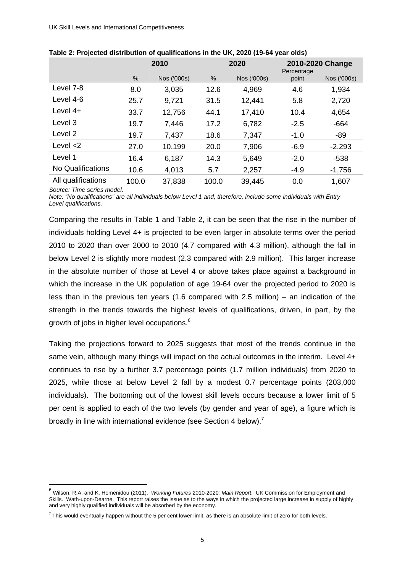|                    |       | 2010        |       | 2020        | 2010-2020 Change<br>Percentage |             |  |
|--------------------|-------|-------------|-------|-------------|--------------------------------|-------------|--|
|                    | $\%$  | Nos ('000s) | $\%$  | Nos ('000s) | point                          | Nos ('000s) |  |
| Level 7-8          | 8.0   | 3,035       | 12.6  | 4,969       | 4.6                            | 1,934       |  |
| Level 4-6          | 25.7  | 9,721       | 31.5  | 12,441      | 5.8                            | 2,720       |  |
| Level $4+$         | 33.7  | 12,756      | 44.1  | 17,410      | 10.4                           | 4,654       |  |
| Level 3            | 19.7  | 7,446       | 17.2  | 6,782       | $-2.5$                         | $-664$      |  |
| Level 2            | 19.7  | 7,437       | 18.6  | 7,347       | $-1.0$                         | $-89$       |  |
| Level $<$ 2        | 27.0  | 10,199      | 20.0  | 7,906       | $-6.9$                         | $-2,293$    |  |
| Level 1            | 16.4  | 6,187       | 14.3  | 5,649       | $-2.0$                         | $-538$      |  |
| No Qualifications  | 10.6  | 4,013       | 5.7   | 2,257       | $-4.9$                         | $-1,756$    |  |
| All qualifications | 100.0 | 37,838      | 100.0 | 39,445      | 0.0                            | 1,607       |  |

| Table 2: Projected distribution of qualifications in the UK, 2020 (19-64 year olds) |  |  |  |
|-------------------------------------------------------------------------------------|--|--|--|
|-------------------------------------------------------------------------------------|--|--|--|

*Source: Time series model.* 

1

*Note: "No qualifications" are all individuals below Level 1 and, therefore, include some individuals with Entry Level qualifications.* 

Comparing the results in Table 1 and Table 2, it can be seen that the rise in the number of individuals holding Level 4+ is projected to be even larger in absolute terms over the period 2010 to 2020 than over 2000 to 2010 (4.7 compared with 4.3 million), although the fall in below Level 2 is slightly more modest (2.3 compared with 2.9 million). This larger increase in the absolute number of those at Level 4 or above takes place against a background in which the increase in the UK population of age 19-64 over the projected period to 2020 is less than in the previous ten years (1.6 compared with 2.5 million) – an indication of the strength in the trends towards the highest levels of qualifications, driven, in part, by the growth of jobs in higher level occupations.<sup>6</sup>

Taking the projections forward to 2025 suggests that most of the trends continue in the same vein, although many things will impact on the actual outcomes in the interim. Level 4+ continues to rise by a further 3.7 percentage points (1.7 million individuals) from 2020 to 2025, while those at below Level 2 fall by a modest 0.7 percentage points (203,000 individuals). The bottoming out of the lowest skill levels occurs because a lower limit of 5 per cent is applied to each of the two levels (by gender and year of age), a figure which is broadly in line with international evidence (see Section 4 below).<sup>7</sup>

<sup>6</sup> Wilson, R.A. and K. Homenidou (2011). *Working Futures* 2010-2020*: Main Report*. UK Commission for Employment and Skills. Wath-upon-Dearne. This report raises the issue as to the ways in which the projected large increase in supply of highly and very highly qualified individuals will be absorbed by the economy.

 $^7$  This would eventually happen without the 5 per cent lower limit, as there is an absolute limit of zero for both levels.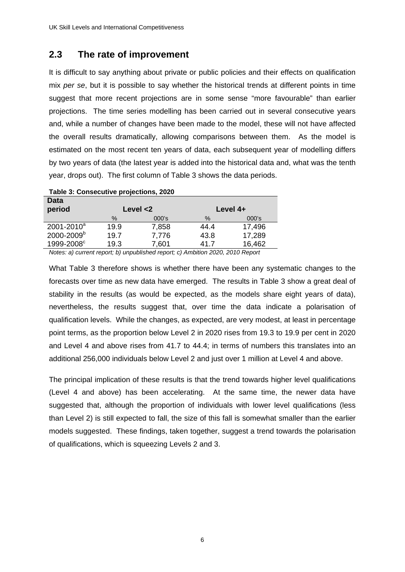# **2.3 The rate of improvement**

It is difficult to say anything about private or public policies and their effects on qualification mix *per se*, but it is possible to say whether the historical trends at different points in time suggest that more recent projections are in some sense "more favourable" than earlier projections. The time series modelling has been carried out in several consecutive years and, while a number of changes have been made to the model, these will not have affected the overall results dramatically, allowing comparisons between them. As the model is estimated on the most recent ten years of data, each subsequent year of modelling differs by two years of data (the latest year is added into the historical data and, what was the tenth year, drops out). The first column of Table 3 shows the data periods.

| Table 3: Consecutive projections, 2020 |      |             |          |        |  |  |  |
|----------------------------------------|------|-------------|----------|--------|--|--|--|
| <b>Data</b>                            |      |             |          |        |  |  |  |
| period                                 |      | Level $<$ 2 | Level 4+ |        |  |  |  |
|                                        | $\%$ | $000$ 's    | $\%$     | 000's  |  |  |  |
| $2001 - 2010^a$                        | 19.9 | 7,858       | 44.4     | 17,496 |  |  |  |
| 2000-2009 <sup>b</sup>                 | 19.7 | 7,776       | 43.8     | 17,289 |  |  |  |
| 1999-2008 <sup>c</sup>                 | 19.3 | 7,601       | 41.7     | 16,462 |  |  |  |

*Notes: a) current report; b) unpublished report; c) Ambition 2020, 2010 Report* 

What Table 3 therefore shows is whether there have been any systematic changes to the forecasts over time as new data have emerged. The results in Table 3 show a great deal of stability in the results (as would be expected, as the models share eight years of data), nevertheless, the results suggest that, over time the data indicate a polarisation of qualification levels. While the changes, as expected, are very modest, at least in percentage point terms, as the proportion below Level 2 in 2020 rises from 19.3 to 19.9 per cent in 2020 and Level 4 and above rises from 41.7 to 44.4; in terms of numbers this translates into an additional 256,000 individuals below Level 2 and just over 1 million at Level 4 and above.

The principal implication of these results is that the trend towards higher level qualifications (Level 4 and above) has been accelerating. At the same time, the newer data have suggested that, although the proportion of individuals with lower level qualifications (less than Level 2) is still expected to fall, the size of this fall is somewhat smaller than the earlier models suggested. These findings, taken together, suggest a trend towards the polarisation of qualifications, which is squeezing Levels 2 and 3.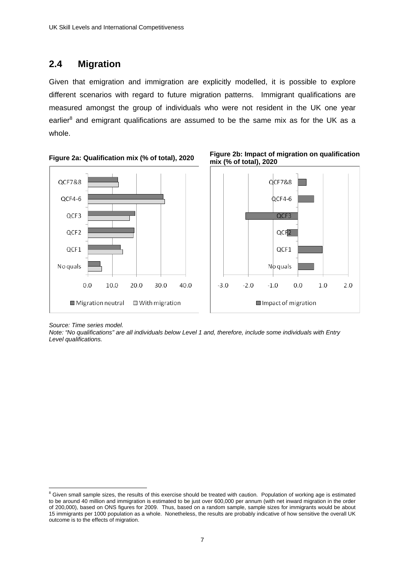# **2.4 Migration**

Given that emigration and immigration are explicitly modelled, it is possible to explore different scenarios with regard to future migration patterns. Immigrant qualifications are measured amongst the group of individuals who were not resident in the UK one year earlier<sup>8</sup> and emigrant qualifications are assumed to be the same mix as for the UK as a whole.







*Source: Time series model.* 

*Note: "No qualifications" are all individuals below Level 1 and, therefore, include some individuals with Entry Level qualifications.* 

 8 Given small sample sizes, the results of this exercise should be treated with caution. Population of working age is estimated to be around 40 million and immigration is estimated to be just over 600,000 per annum (with net inward migration in the order of 200,000), based on ONS figures for 2009. Thus, based on a random sample, sample sizes for immigrants would be about 15 immigrants per 1000 population as a whole. Nonetheless, the results are probably indicative of how sensitive the overall UK outcome is to the effects of migration.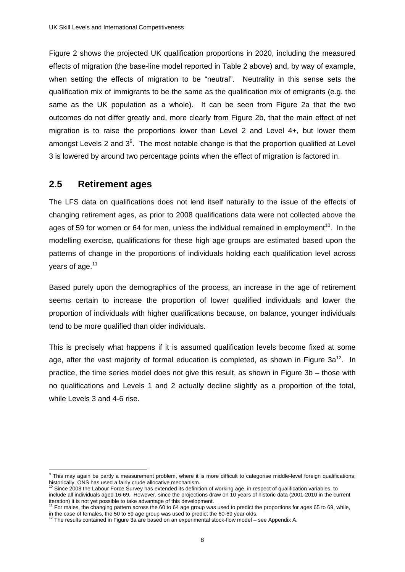Figure 2 shows the projected UK qualification proportions in 2020, including the measured effects of migration (the base-line model reported in Table 2 above) and, by way of example, when setting the effects of migration to be "neutral". Neutrality in this sense sets the qualification mix of immigrants to be the same as the qualification mix of emigrants (e.g. the same as the UK population as a whole). It can be seen from Figure 2a that the two outcomes do not differ greatly and, more clearly from Figure 2b, that the main effect of net migration is to raise the proportions lower than Level 2 and Level 4+, but lower them amongst Levels 2 and  $3<sup>9</sup>$ . The most notable change is that the proportion qualified at Level 3 is lowered by around two percentage points when the effect of migration is factored in.

# **2.5 Retirement ages**

The LFS data on qualifications does not lend itself naturally to the issue of the effects of changing retirement ages, as prior to 2008 qualifications data were not collected above the ages of 59 for women or 64 for men, unless the individual remained in employment<sup>10</sup>. In the modelling exercise, qualifications for these high age groups are estimated based upon the patterns of change in the proportions of individuals holding each qualification level across years of age.<sup>11</sup>

Based purely upon the demographics of the process, an increase in the age of retirement seems certain to increase the proportion of lower qualified individuals and lower the proportion of individuals with higher qualifications because, on balance, younger individuals tend to be more qualified than older individuals.

This is precisely what happens if it is assumed qualification levels become fixed at some age, after the vast majority of formal education is completed, as shown in Figure  $3a^{12}$ . In practice, the time series model does not give this result, as shown in Figure 3b – those with no qualifications and Levels 1 and 2 actually decline slightly as a proportion of the total, while Levels 3 and 4-6 rise.

 9 This may again be partly a measurement problem, where it is more difficult to categorise middle-level foreign qualifications; historically, ONS has used a fairly crude allocative mechanism.

 $10$  Since 2008 the Labour Force Survey has extended its definition of working age, in respect of qualification variables, to include all individuals aged 16-69. However, since the projections draw on 10 years of historic data (2001-2010 in the current

<sup>&</sup>lt;sup>1</sup> For males, the changing pattern across the 60 to 64 age group was used to predict the proportions for ages 65 to 69, while,

in the case of females, the 50 to 59 age group was used to predict the 60-69 year olds.<br><sup>12</sup> The results contained in Figure 3a are based on an experimental stock-flow model – see Appendix A.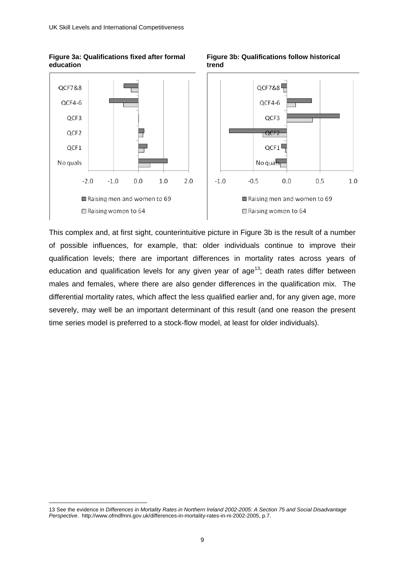**Figure 3a: Qualifications fixed after formal** 

**education** 

1



 **Figure 3b: Qualifications follow historical trend** 



This complex and, at first sight, counterintuitive picture in Figure 3b is the result of a number of possible influences, for example, that: older individuals continue to improve their qualification levels; there are important differences in mortality rates across years of education and qualification levels for any given year of age<sup>13</sup>; death rates differ between males and females, where there are also gender differences in the qualification mix. The differential mortality rates, which affect the less qualified earlier and, for any given age, more severely, may well be an important determinant of this result (and one reason the present time series model is preferred to a stock-flow model, at least for older individuals).

<sup>13</sup> See the evidence in *Differences in Mortality Rates in Northern Ireland 2002-2005: A Section 75 and Social Disadvantage Perspective*. http://www.ofmdfmni.gov.uk/differences-in-mortality-rates-in-ni-2002-2005, p.7.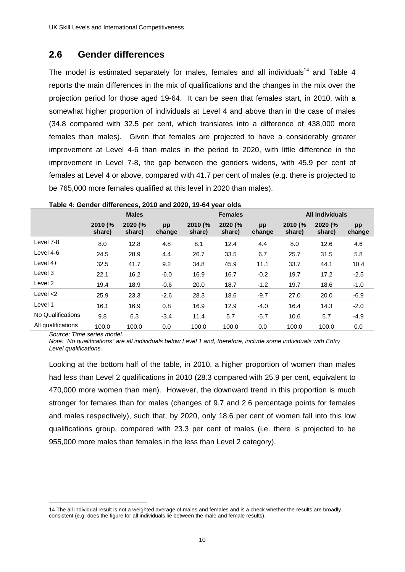# **2.6 Gender differences**

The model is estimated separately for males, females and all individuals<sup>14</sup> and Table 4 reports the main differences in the mix of qualifications and the changes in the mix over the projection period for those aged 19-64. It can be seen that females start, in 2010, with a somewhat higher proportion of individuals at Level 4 and above than in the case of males (34.8 compared with 32.5 per cent, which translates into a difference of 438,000 more females than males). Given that females are projected to have a considerably greater improvement at Level 4-6 than males in the period to 2020, with little difference in the improvement in Level 7-8, the gap between the genders widens, with 45.9 per cent of females at Level 4 or above, compared with 41.7 per cent of males (e.g. there is projected to be 765,000 more females qualified at this level in 2020 than males).

|                    |                   | <b>Males</b>      |              |                   | <b>Females</b>    |              | <b>All individuals</b> |                   |              |  |
|--------------------|-------------------|-------------------|--------------|-------------------|-------------------|--------------|------------------------|-------------------|--------------|--|
|                    | 2010 (%<br>share) | 2020 (%<br>share) | pp<br>change | 2010 (%<br>share) | 2020 (%<br>share) | pp<br>change | 2010 (%<br>share)      | 2020 (%<br>share) | pp<br>change |  |
| Level 7-8          | 8.0               | 12.8              | 4.8          | 8.1               | 12.4              | 4.4          | 8.0                    | 12.6              | 4.6          |  |
| Level 4-6          | 24.5              | 28.9              | 4.4          | 26.7              | 33.5              | 6.7          | 25.7                   | 31.5              | 5.8          |  |
| Level 4+           | 32.5              | 41.7              | 9.2          | 34.8              | 45.9              | 11.1         | 33.7                   | 44.1              | 10.4         |  |
| Level 3            | 22.1              | 16.2              | $-6.0$       | 16.9              | 16.7              | $-0.2$       | 19.7                   | 17.2              | $-2.5$       |  |
| Level 2            | 19.4              | 18.9              | $-0.6$       | 20.0              | 18.7              | $-1.2$       | 19.7                   | 18.6              | $-1.0$       |  |
| Level $<$ 2        | 25.9              | 23.3              | $-2.6$       | 28.3              | 18.6              | $-9.7$       | 27.0                   | 20.0              | $-6.9$       |  |
| Level 1            | 16.1              | 16.9              | 0.8          | 16.9              | 12.9              | $-4.0$       | 16.4                   | 14.3              | $-2.0$       |  |
| No Qualifications  | 9.8               | 6.3               | $-3.4$       | 11.4              | 5.7               | $-5.7$       | 10.6                   | 5.7               | $-4.9$       |  |
| All qualifications | 100.0             | 100.0             | 0.0          | 100.0             | 100.0             | 0.0          | 100.0                  | 100.0             | 0.0          |  |

| Table 4: Gender differences, 2010 and 2020, 19-64 year olds |  |  |  |  |  |
|-------------------------------------------------------------|--|--|--|--|--|
|-------------------------------------------------------------|--|--|--|--|--|

*Source: Time series model.* 

1

*Note: "No qualifications" are all individuals below Level 1 and, therefore, include some individuals with Entry Level qualifications.* 

Looking at the bottom half of the table, in 2010, a higher proportion of women than males had less than Level 2 qualifications in 2010 (28.3 compared with 25.9 per cent, equivalent to 470,000 more women than men). However, the downward trend in this proportion is much stronger for females than for males (changes of 9.7 and 2.6 percentage points for females and males respectively), such that, by 2020, only 18.6 per cent of women fall into this low qualifications group, compared with 23.3 per cent of males (i.e. there is projected to be 955,000 more males than females in the less than Level 2 category).

<sup>14</sup> The all individual result is not a weighted average of males and females and is a check whether the results are broadly consistent (e.g. does the figure for all individuals lie between the male and female results).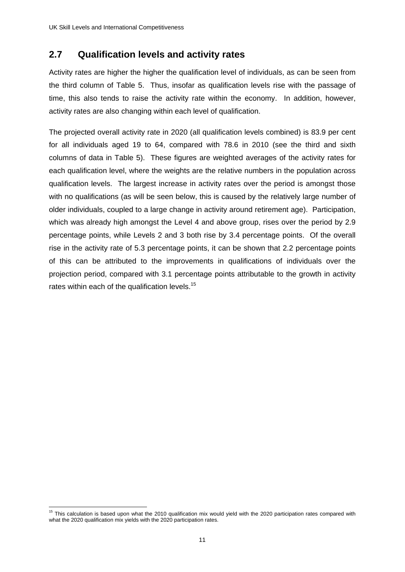# **2.7 Qualification levels and activity rates**

Activity rates are higher the higher the qualification level of individuals, as can be seen from the third column of Table 5. Thus, insofar as qualification levels rise with the passage of time, this also tends to raise the activity rate within the economy. In addition, however, activity rates are also changing within each level of qualification.

The projected overall activity rate in 2020 (all qualification levels combined) is 83.9 per cent for all individuals aged 19 to 64, compared with 78.6 in 2010 (see the third and sixth columns of data in Table 5). These figures are weighted averages of the activity rates for each qualification level, where the weights are the relative numbers in the population across qualification levels. The largest increase in activity rates over the period is amongst those with no qualifications (as will be seen below, this is caused by the relatively large number of older individuals, coupled to a large change in activity around retirement age). Participation, which was already high amongst the Level 4 and above group, rises over the period by 2.9 percentage points, while Levels 2 and 3 both rise by 3.4 percentage points. Of the overall rise in the activity rate of 5.3 percentage points, it can be shown that 2.2 percentage points of this can be attributed to the improvements in qualifications of individuals over the projection period, compared with 3.1 percentage points attributable to the growth in activity rates within each of the qualification levels.<sup>15</sup>

<sup>1</sup> <sup>15</sup> This calculation is based upon what the 2010 qualification mix would yield with the 2020 participation rates compared with what the 2020 qualification mix yields with the 2020 participation rates.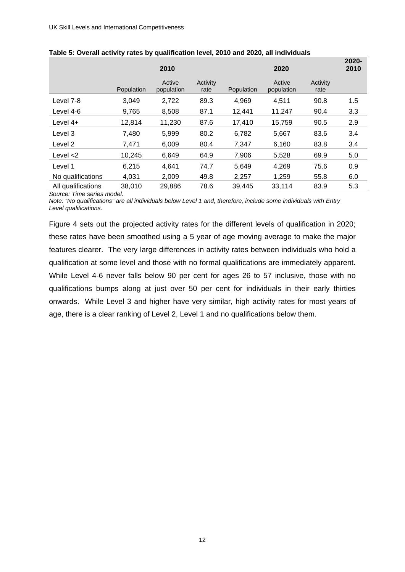|                    |            | 2010                 |                  |            | 2020                 |                  | 2020-<br>2010 |
|--------------------|------------|----------------------|------------------|------------|----------------------|------------------|---------------|
|                    | Population | Active<br>population | Activity<br>rate | Population | Active<br>population | Activity<br>rate |               |
| Level 7-8          | 3,049      | 2,722                | 89.3             | 4.969      | 4.511                | 90.8             | 1.5           |
| Level 4-6          | 9,765      | 8,508                | 87.1             | 12.441     | 11,247               | 90.4             | 3.3           |
| Level 4+           | 12,814     | 11,230               | 87.6             | 17.410     | 15,759               | 90.5             | 2.9           |
| Level 3            | 7,480      | 5,999                | 80.2             | 6,782      | 5,667                | 83.6             | 3.4           |
| Level 2            | 7,471      | 6,009                | 80.4             | 7,347      | 6,160                | 83.8             | 3.4           |
| Level $<$ 2        | 10,245     | 6,649                | 64.9             | 7,906      | 5,528                | 69.9             | 5.0           |
| Level 1            | 6,215      | 4,641                | 74.7             | 5.649      | 4,269                | 75.6             | 0.9           |
| No qualifications  | 4,031      | 2,009                | 49.8             | 2,257      | 1,259                | 55.8             | 6.0           |
| All qualifications | 38,010     | 29,886               | 78.6             | 39,445     | 33,114               | 83.9             | 5.3           |

| Table 5: Overall activity rates by qualification level, 2010 and 2020, all individuals |  |  |  |  |
|----------------------------------------------------------------------------------------|--|--|--|--|
|----------------------------------------------------------------------------------------|--|--|--|--|

*Source: Time series model.* 

*Note: "No qualifications" are all individuals below Level 1 and, therefore, include some individuals with Entry Level qualifications.* 

Figure 4 sets out the projected activity rates for the different levels of qualification in 2020; these rates have been smoothed using a 5 year of age moving average to make the major features clearer. The very large differences in activity rates between individuals who hold a qualification at some level and those with no formal qualifications are immediately apparent. While Level 4-6 never falls below 90 per cent for ages 26 to 57 inclusive, those with no qualifications bumps along at just over 50 per cent for individuals in their early thirties onwards. While Level 3 and higher have very similar, high activity rates for most years of age, there is a clear ranking of Level 2, Level 1 and no qualifications below them.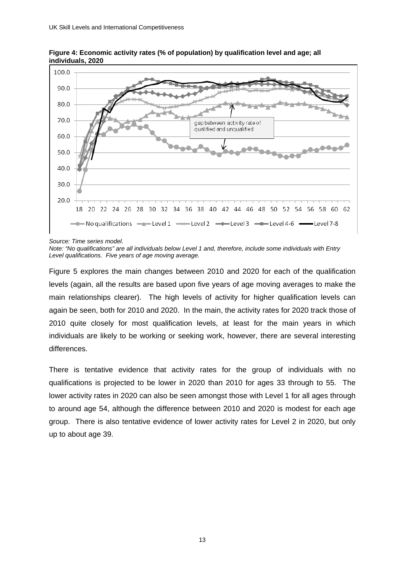

**Figure 4: Economic activity rates (% of population) by qualification level and age; all individuals, 2020** 

*Source: Time series model.* 

*Note: "No qualifications" are all individuals below Level 1 and, therefore, include some individuals with Entry Level qualifications. Five years of age moving average.* 

Figure 5 explores the main changes between 2010 and 2020 for each of the qualification levels (again, all the results are based upon five years of age moving averages to make the main relationships clearer). The high levels of activity for higher qualification levels can again be seen, both for 2010 and 2020. In the main, the activity rates for 2020 track those of 2010 quite closely for most qualification levels, at least for the main years in which individuals are likely to be working or seeking work, however, there are several interesting differences.

There is tentative evidence that activity rates for the group of individuals with no qualifications is projected to be lower in 2020 than 2010 for ages 33 through to 55. The lower activity rates in 2020 can also be seen amongst those with Level 1 for all ages through to around age 54, although the difference between 2010 and 2020 is modest for each age group. There is also tentative evidence of lower activity rates for Level 2 in 2020, but only up to about age 39.

13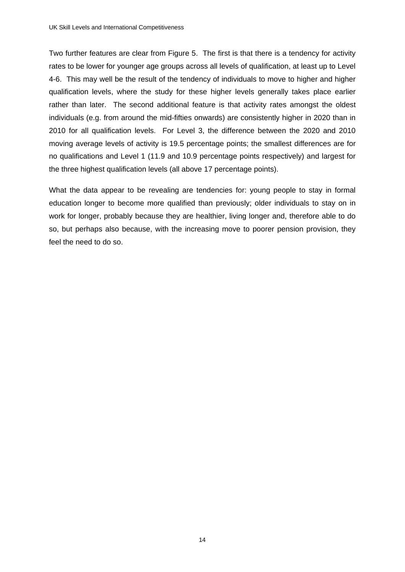Two further features are clear from Figure 5. The first is that there is a tendency for activity rates to be lower for younger age groups across all levels of qualification, at least up to Level 4-6. This may well be the result of the tendency of individuals to move to higher and higher qualification levels, where the study for these higher levels generally takes place earlier rather than later. The second additional feature is that activity rates amongst the oldest individuals (e.g. from around the mid-fifties onwards) are consistently higher in 2020 than in 2010 for all qualification levels. For Level 3, the difference between the 2020 and 2010 moving average levels of activity is 19.5 percentage points; the smallest differences are for no qualifications and Level 1 (11.9 and 10.9 percentage points respectively) and largest for the three highest qualification levels (all above 17 percentage points).

What the data appear to be revealing are tendencies for: young people to stay in formal education longer to become more qualified than previously; older individuals to stay on in work for longer, probably because they are healthier, living longer and, therefore able to do so, but perhaps also because, with the increasing move to poorer pension provision, they feel the need to do so.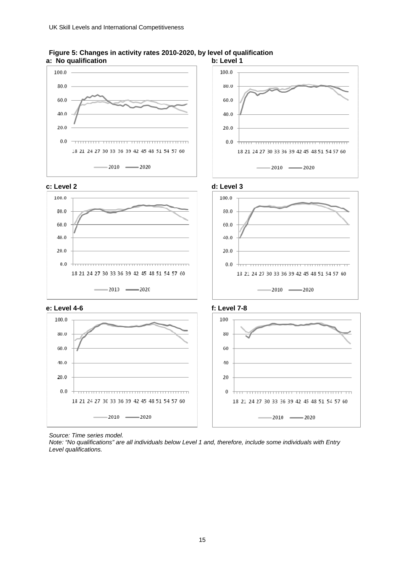



*Source: Time series model.* 

*Note: "No qualifications" are all individuals below Level 1 and, therefore, include some individuals with Entry Level qualifications.*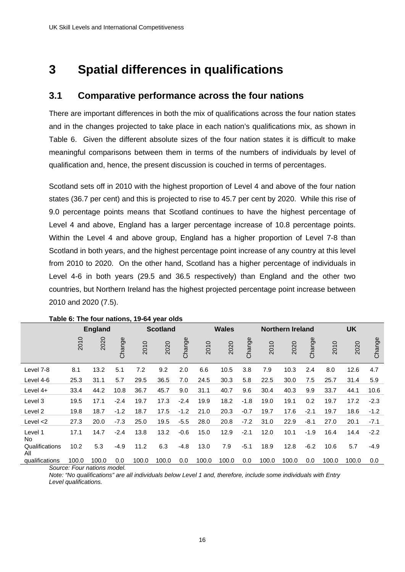# **3 Spatial differences in qualifications**

# **3.1 Comparative performance across the four nations**

There are important differences in both the mix of qualifications across the four nation states and in the changes projected to take place in each nation's qualifications mix, as shown in Table 6. Given the different absolute sizes of the four nation states it is difficult to make meaningful comparisons between them in terms of the numbers of individuals by level of qualification and, hence, the present discussion is couched in terms of percentages.

Scotland sets off in 2010 with the highest proportion of Level 4 and above of the four nation states (36.7 per cent) and this is projected to rise to 45.7 per cent by 2020. While this rise of 9.0 percentage points means that Scotland continues to have the highest percentage of Level 4 and above, England has a larger percentage increase of 10.8 percentage points. Within the Level 4 and above group, England has a higher proportion of Level 7-8 than Scotland in both years, and the highest percentage point increase of any country at this level from 2010 to 2020. On the other hand, Scotland has a higher percentage of individuals in Level 4-6 in both years (29.5 and 36.5 respectively) than England and the other two countries, but Northern Ireland has the highest projected percentage point increase between 2010 and 2020 (7.5).

|                       | <b>England</b> |       |        | <b>Scotland</b> |       |        | <b>Wales</b> |       |        | <b>Northern Ireland</b> |       |        |       | UK    |        |  |
|-----------------------|----------------|-------|--------|-----------------|-------|--------|--------------|-------|--------|-------------------------|-------|--------|-------|-------|--------|--|
|                       | 2010           | 2020  | Change | 2010            | 2020  | Change | 2010         | 2020  | Change | 2010                    | 2020  | Change | 2010  | 2020  | Change |  |
| Level 7-8             | 8.1            | 13.2  | 5.1    | 7.2             | 9.2   | 2.0    | 6.6          | 10.5  | 3.8    | 7.9                     | 10.3  | 2.4    | 8.0   | 12.6  | 4.7    |  |
| Level 4-6             | 25.3           | 31.1  | 5.7    | 29.5            | 36.5  | 7.0    | 24.5         | 30.3  | 5.8    | 22.5                    | 30.0  | 7.5    | 25.7  | 31.4  | 5.9    |  |
| Level $4+$            | 33.4           | 44.2  | 10.8   | 36.7            | 45.7  | 9.0    | 31.1         | 40.7  | 9.6    | 30.4                    | 40.3  | 9.9    | 33.7  | 44.1  | 10.6   |  |
| Level 3               | 19.5           | 17.1  | $-2.4$ | 19.7            | 17.3  | $-2.4$ | 19.9         | 18.2  | $-1.8$ | 19.0                    | 19.1  | 0.2    | 19.7  | 17.2  | $-2.3$ |  |
| Level 2               | 19.8           | 18.7  | $-1.2$ | 18.7            | 17.5  | $-1.2$ | 21.0         | 20.3  | $-0.7$ | 19.7                    | 17.6  | $-2.1$ | 19.7  | 18.6  | $-1.2$ |  |
| Level $<$ 2           | 27.3           | 20.0  | $-7.3$ | 25.0            | 19.5  | $-5.5$ | 28.0         | 20.8  | $-7.2$ | 31.0                    | 22.9  | $-8.1$ | 27.0  | 20.1  | $-7.1$ |  |
| Level 1<br>No.        | 17.1           | 14.7  | $-2.4$ | 13.8            | 13.2  | $-0.6$ | 15.0         | 12.9  | $-2.1$ | 12.0                    | 10.1  | $-1.9$ | 16.4  | 14.4  | $-2.2$ |  |
| Qualifications<br>All | 10.2           | 5.3   | $-4.9$ | 11.2            | 6.3   | $-4.8$ | 13.0         | 7.9   | $-5.1$ | 18.9                    | 12.8  | $-6.2$ | 10.6  | 5.7   | $-4.9$ |  |
| qualifications        | 100.0          | 100.0 | 0.0    | 100.0           | 100.0 | 0.0    | 100.0        | 100.0 | 0.0    | 100.0                   | 100.0 | 0.0    | 100.0 | 100.0 | 0.0    |  |

#### **Table 6: The four nations, 19-64 year olds**

*Source: Four nations model.* 

*Note: "No qualifications" are all individuals below Level 1 and, therefore, include some individuals with Entry Level qualifications.*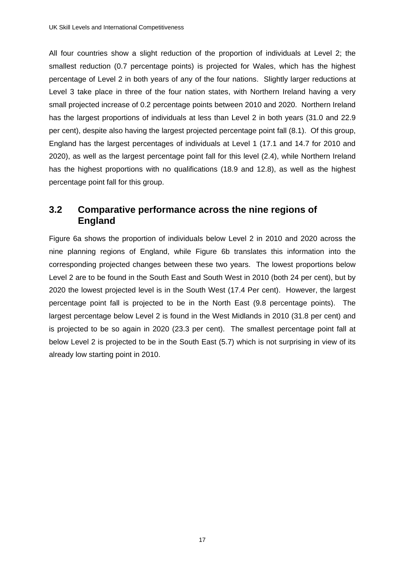All four countries show a slight reduction of the proportion of individuals at Level 2; the smallest reduction (0.7 percentage points) is projected for Wales, which has the highest percentage of Level 2 in both years of any of the four nations. Slightly larger reductions at Level 3 take place in three of the four nation states, with Northern Ireland having a very small projected increase of 0.2 percentage points between 2010 and 2020. Northern Ireland has the largest proportions of individuals at less than Level 2 in both years (31.0 and 22.9 per cent), despite also having the largest projected percentage point fall (8.1). Of this group, England has the largest percentages of individuals at Level 1 (17.1 and 14.7 for 2010 and 2020), as well as the largest percentage point fall for this level (2.4), while Northern Ireland has the highest proportions with no qualifications (18.9 and 12.8), as well as the highest percentage point fall for this group.

# **3.2 Comparative performance across the nine regions of England**

Figure 6a shows the proportion of individuals below Level 2 in 2010 and 2020 across the nine planning regions of England, while Figure 6b translates this information into the corresponding projected changes between these two years. The lowest proportions below Level 2 are to be found in the South East and South West in 2010 (both 24 per cent), but by 2020 the lowest projected level is in the South West (17.4 Per cent). However, the largest percentage point fall is projected to be in the North East (9.8 percentage points). The largest percentage below Level 2 is found in the West Midlands in 2010 (31.8 per cent) and is projected to be so again in 2020 (23.3 per cent). The smallest percentage point fall at below Level 2 is projected to be in the South East (5.7) which is not surprising in view of its already low starting point in 2010.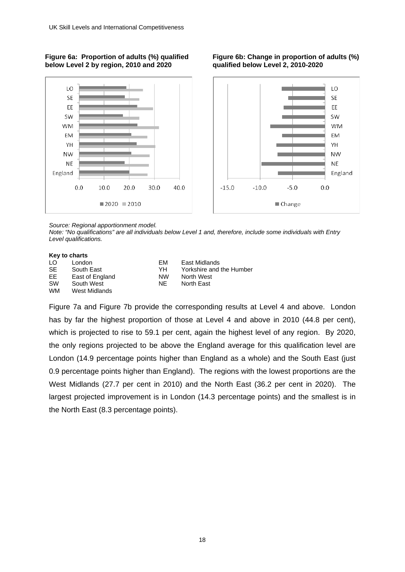#### **Figure 6a: Proportion of adults (%) qualified below Level 2 by region, 2010 and 2020**

**Figure 6b: Change in proportion of adults (%) qualified below Level 2, 2010-2020** 



*Source: Regional apportionment model.* 

*Note: "No qualifications" are all individuals below Level 1 and, therefore, include some individuals with Entry Level qualifications.* 

#### **Key to charts**

| LO        | London          |
|-----------|-----------------|
| SE        | South East      |
| FF        | East of England |
| <b>SW</b> | South West      |
| <b>WM</b> | West Midlands   |
|           |                 |

**EM** East Midlands YH Yorkshire and the Humber NW North West NE North East

Figure 7a and Figure 7b provide the corresponding results at Level 4 and above. London has by far the highest proportion of those at Level 4 and above in 2010 (44.8 per cent), which is projected to rise to 59.1 per cent, again the highest level of any region. By 2020, the only regions projected to be above the England average for this qualification level are London (14.9 percentage points higher than England as a whole) and the South East (just 0.9 percentage points higher than England). The regions with the lowest proportions are the West Midlands (27.7 per cent in 2010) and the North East (36.2 per cent in 2020). The largest projected improvement is in London (14.3 percentage points) and the smallest is in the North East (8.3 percentage points).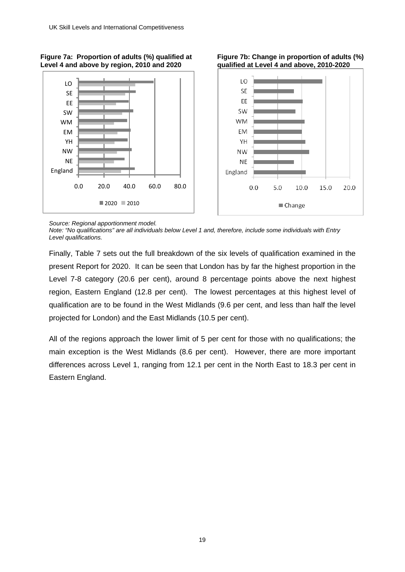

#### **Figure 7a: Proportion of adults (%) qualified at Level 4 and above by region, 2010 and 2020**

**Figure 7b: Change in proportion of adults (%) qualified at Level 4 and above, 2010-2020** 

*Source: Regional apportionment model.* 

*Note: "No qualifications" are all individuals below Level 1 and, therefore, include some individuals with Entry Level qualifications.* 

Finally, Table 7 sets out the full breakdown of the six levels of qualification examined in the present Report for 2020. It can be seen that London has by far the highest proportion in the Level 7-8 category (20.6 per cent), around 8 percentage points above the next highest region, Eastern England (12.8 per cent). The lowest percentages at this highest level of qualification are to be found in the West Midlands (9.6 per cent, and less than half the level projected for London) and the East Midlands (10.5 per cent).

All of the regions approach the lower limit of 5 per cent for those with no qualifications; the main exception is the West Midlands (8.6 per cent). However, there are more important differences across Level 1, ranging from 12.1 per cent in the North East to 18.3 per cent in Eastern England.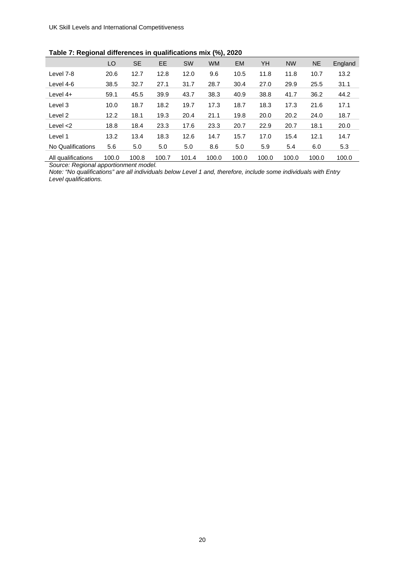|                    | LO    | <b>SE</b> | EE.   | <b>SW</b> | <b>WM</b> | <b>EM</b> | YH    | <b>NW</b> | <b>NE</b> | England |
|--------------------|-------|-----------|-------|-----------|-----------|-----------|-------|-----------|-----------|---------|
| Level 7-8          | 20.6  | 12.7      | 12.8  | 12.0      | 9.6       | 10.5      | 11.8  | 11.8      | 10.7      | 13.2    |
| Level 4-6          | 38.5  | 32.7      | 27.1  | 31.7      | 28.7      | 30.4      | 27.0  | 29.9      | 25.5      | 31.1    |
| Level $4+$         | 59.1  | 45.5      | 39.9  | 43.7      | 38.3      | 40.9      | 38.8  | 41.7      | 36.2      | 44.2    |
| Level 3            | 10.0  | 18.7      | 18.2  | 19.7      | 17.3      | 18.7      | 18.3  | 17.3      | 21.6      | 17.1    |
| Level 2            | 12.2  | 18.1      | 19.3  | 20.4      | 21.1      | 19.8      | 20.0  | 20.2      | 24.0      | 18.7    |
| Level $<$ 2        | 18.8  | 18.4      | 23.3  | 17.6      | 23.3      | 20.7      | 22.9  | 20.7      | 18.1      | 20.0    |
| Level 1            | 13.2  | 13.4      | 18.3  | 12.6      | 14.7      | 15.7      | 17.0  | 15.4      | 12.1      | 14.7    |
| No Qualifications  | 5.6   | 5.0       | 5.0   | 5.0       | 8.6       | 5.0       | 5.9   | 5.4       | 6.0       | 5.3     |
| All qualifications | 100.0 | 100.8     | 100.7 | 101.4     | 100.0     | 100.0     | 100.0 | 100.0     | 100.0     | 100.0   |

*Source: Regional apportionment model.* 

*Note: "No qualifications" are all individuals below Level 1 and, therefore, include some individuals with Entry Level qualifications.*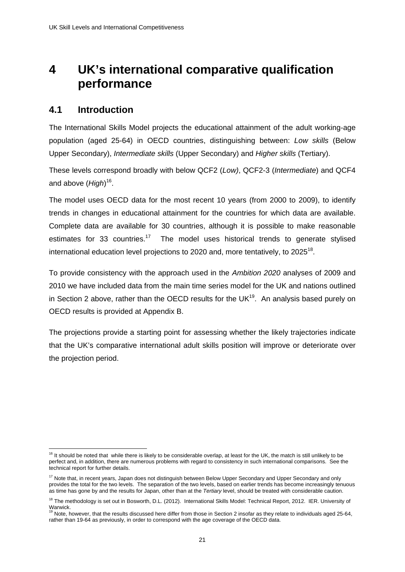# **4 UK's international comparative qualification performance**

# **4.1 Introduction**

1

The International Skills Model projects the educational attainment of the adult working-age population (aged 25-64) in OECD countries, distinguishing between: *Low skills* (Below Upper Secondary), *Intermediate skills* (Upper Secondary) and *Higher skills* (Tertiary).

These levels correspond broadly with below QCF2 (*Low)*, QCF2-3 (*Intermediate*) and QCF4 and above (*High*) 16.

The model uses OECD data for the most recent 10 years (from 2000 to 2009), to identify trends in changes in educational attainment for the countries for which data are available. Complete data are available for 30 countries, although it is possible to make reasonable estimates for 33 countries.<sup>17</sup> The model uses historical trends to generate stylised international education level projections to 2020 and, more tentatively, to 2025<sup>18</sup>.

To provide consistency with the approach used in the *Ambition 2020* analyses of 2009 and 2010 we have included data from the main time series model for the UK and nations outlined in Section 2 above, rather than the OECD results for the UK $^{19}$ . An analysis based purely on OECD results is provided at Appendix B.

The projections provide a starting point for assessing whether the likely trajectories indicate that the UK's comparative international adult skills position will improve or deteriorate over the projection period.

 $16$  It should be noted that while there is likely to be considerable overlap, at least for the UK, the match is still unlikely to be perfect and, in addition, there are numerous problems with regard to consistency in such international comparisons. See the technical report for further details.

<sup>&</sup>lt;sup>17</sup> Note that, in recent years, Japan does not distinguish between Below Upper Secondary and Upper Secondary and only provides the total for the two levels. The separation of the two levels, based on earlier trends has become increasingly tenuous as time has gone by and the results for Japan, other than at the *Tertiary* level, should be treated with considerable caution.

<sup>&</sup>lt;sup>18</sup> The methodology is set out in Bosworth, D.L. (2012). International Skills Model: Technical Report, 2012. IER. University of

Warwick.<br><sup>19</sup> Note, however, that the results discussed here differ from those in Section 2 insofar as they relate to individuals aged 25-64, rather than 19-64 as previously, in order to correspond with the age coverage of the OECD data.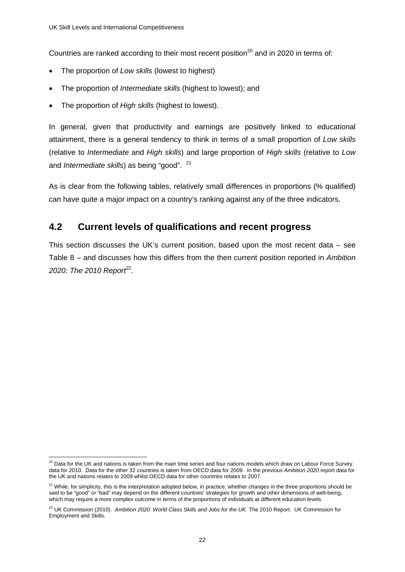Countries are ranked according to their most recent position<sup>20</sup> and in 2020 in terms of:

- The proportion of *Low skills* (lowest to highest)
- The proportion of *Intermediate skills* (highest to lowest); and
- The proportion of *High skills* (highest to lowest).

In general, given that productivity and earnings are positively linked to educational attainment, there is a general tendency to think in terms of a small proportion of *Low skills* (relative to *Intermediate* and *High skills*) and large proportion of *High skills* (relative to *Low* and *Intermediate skills*) as being "good". <sup>21</sup>

As is clear from the following tables, relatively small differences in proportions (% qualified) can have quite a major impact on a country's ranking against any of the three indicators.

# **4.2 Current levels of qualifications and recent progress**

This section discusses the UK's current position, based upon the most recent data – see Table 8 – and discusses how this differs from the then current position reported in *Ambition 2020: The 2010 Report<sup>22</sup>*.

<sup>1</sup>  $^{20}$  Data for the UK and nations is taken from the main time series and four nations models which draw on Labour Force Survey data for 2010. Data for the other 32 countries is taken from OECD data for 2009. In the previous Ambition 2020 report data for the UK and nations relates to 2009 whilst OECD data for other countries relates to 2007.

<sup>&</sup>lt;sup>21</sup> While, for simplicity, this is the interpretation adopted below, in practice, whether changes in the three proportions should be said to be "good" or "bad" may depend on the different countries' strategies for growth and other dimensions of well-being, which may require a more complex outcome in terms of the proportions of individuals at different education levels.

<sup>&</sup>lt;sup>22</sup> UK Commission (2010). Ambition 2020: World Class Skills and Jobs for the UK. The 2010 Report. UK Commission for Employment and Skills.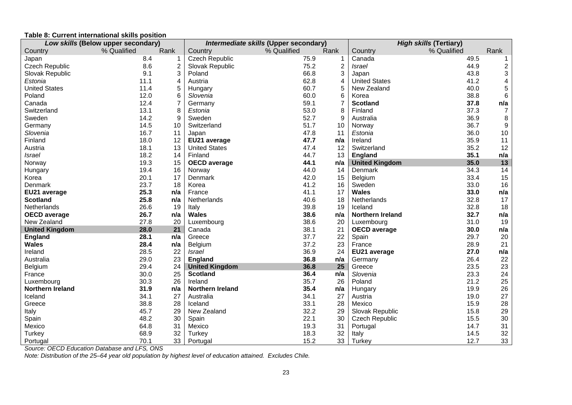#### **Table 8: Current international skills position**

| Low skills (Below upper secondary) |             | Intermediate skills (Upper secondary) |                         |             | <b>High skills (Tertiary)</b> |                         |             |                         |
|------------------------------------|-------------|---------------------------------------|-------------------------|-------------|-------------------------------|-------------------------|-------------|-------------------------|
| Country                            | % Qualified | Rank                                  | Country                 | % Qualified | Rank                          | Country                 | % Qualified | Rank                    |
| Japan                              | 8.4         |                                       | <b>Czech Republic</b>   | 75.9        | 1                             | Canada                  | 49.5        | 1                       |
| <b>Czech Republic</b>              | 8.6         | $\overline{c}$                        | Slovak Republic         | 75.2        | $\overline{c}$                | <b>Israel</b>           | 44.9        | $\overline{\mathbf{c}}$ |
| Slovak Republic                    | 9.1         | 3                                     | Poland                  | 66.8        | 3                             | Japan                   | 43.8        | 3                       |
| Estonia                            | 11.1        | 4                                     | Austria                 | 62.8        | 4                             | <b>United States</b>    | 41.2        | $\overline{\mathbf{4}}$ |
| <b>United States</b>               | 11.4        |                                       | Hungary                 | 60.7        | 5                             | New Zealand             | 40.0        | 5                       |
| Poland                             | 12.0        | 6                                     | Slovenia                | 60.0        | 6                             | Korea                   | 38.8        | $\,6$                   |
| Canada                             | 12.4        | 7                                     | Germany                 | 59.1        | $\overline{7}$                | <b>Scotland</b>         | 37.8        | n/a                     |
| Switzerland                        | 13.1        | 8                                     | Estonia                 | 53.0        | 8                             | Finland                 | 37.3        | 7                       |
| Sweden                             | 14.2        | 9                                     | Sweden                  | 52.7        | 9                             | Australia               | 36.9        | 8                       |
| Germany                            | 14.5        | 10                                    | Switzerland             | 51.7        | 10                            | Norway                  | 36.7        | 9                       |
| Slovenia                           | 16.7        | 11                                    | Japan                   | 47.8        | 11                            | Estonia                 | 36.0        | 10                      |
| Finland                            | 18.0        | 12                                    | EU21 average            | 47.7        | n/a                           | Ireland                 | 35.9        | 11                      |
| Austria                            | 18.1        | 13                                    | <b>United States</b>    | 47.4        | 12                            | Switzerland             | 35.2        | 12                      |
| <b>Israel</b>                      | 18.2        | 14                                    | Finland                 | 44.7        | 13                            | <b>England</b>          | 35.1        | n/a                     |
| Norway                             | 19.3        | 15                                    | <b>OECD</b> average     | 44.1        | n/a                           | <b>United Kingdom</b>   | 35.0        | 13                      |
| Hungary                            | 19.4        | 16                                    | Norway                  | 44.0        | 14                            | Denmark                 | 34.3        | 14                      |
| Korea                              | 20.1        | 17                                    | Denmark                 | 42.0        | 15                            | Belgium                 | 33.4        | 15                      |
| Denmark                            | 23.7        | 18                                    | Korea                   | 41.2        | 16                            | Sweden                  | 33.0        | 16                      |
| EU21 average                       | 25.3        | n/a                                   | France                  | 41.1        | 17                            | <b>Wales</b>            | 33.0        | n/a                     |
| <b>Scotland</b>                    | 25.8        | n/a                                   | Netherlands             | 40.6        | 18                            | Netherlands             | 32.8        | 17                      |
| Netherlands                        | 26.6        | 19                                    | Italy                   | 39.8        | 19                            | Iceland                 | 32.8        | 18                      |
| <b>OECD</b> average                | 26.7        | n/a                                   | <b>Wales</b>            | 38.6        | n/a                           | <b>Northern Ireland</b> | 32.7        | n/a                     |
| New Zealand                        | 27.8        | 20                                    | Luxembourg              | 38.6        | 20                            | Luxembourg              | 31.0        | 19                      |
| <b>United Kingdom</b>              | 28.0        | 21                                    | Canada                  | 38.1        | 21                            | <b>OECD</b> average     | 30.0        | n/a                     |
| <b>England</b>                     | 28.1        | n/a                                   | Greece                  | 37.7        | 22                            | Spain                   | 29.7        | 20                      |
| <b>Wales</b>                       | 28.4        | n/a                                   | Belgium                 | 37.2        | 23                            | France                  | 28.9        | 21                      |
| Ireland                            | 28.5        | 22                                    | <b>Israel</b>           | 36.9        | 24                            | EU21 average            | 27.0        | n/a                     |
| Australia                          | 29.0        | 23                                    | <b>England</b>          | 36.8        | n/a                           | Germany                 | 26.4        | 22                      |
| Belgium                            | 29.4        | 24                                    | <b>United Kingdom</b>   | 36.8        | 25                            | Greece                  | 23.5        | 23                      |
| France                             | 30.0        | 25                                    | <b>Scotland</b>         | 36.4        | n/a                           | Slovenia                | 23.3        | 24                      |
| Luxembourg                         | 30.3        | 26                                    | Ireland                 | 35.7        | 26                            | Poland                  | 21.2        | 25                      |
| <b>Northern Ireland</b>            | 31.9        | n/a                                   | <b>Northern Ireland</b> | 35.4        | n/a                           | Hungary                 | 19.9        | 26                      |
| Iceland                            | 34.1        | 27                                    | Australia               | 34.1        | 27                            | Austria                 | 19.0        | 27                      |
| Greece                             | 38.8        | 28                                    | Iceland                 | 33.1        | 28                            | Mexico                  | 15.9        | 28                      |
| Italy                              | 45.7        | 29                                    | New Zealand             | 32.2        | 29                            | Slovak Republic         | 15.8        | 29                      |
| Spain                              | 48.2        | 30                                    | Spain                   | 22.1        | 30                            | <b>Czech Republic</b>   | 15.5        | 30                      |
| Mexico                             | 64.8        | 31                                    | Mexico                  | 19.3        | 31                            | Portugal                | 14.7        | 31                      |
| Turkey                             | 68.9        | 32                                    | Turkey                  | 18.3        | 32                            | Italy                   | 14.5        | 32                      |
| Portugal                           | 70.1        | 33                                    | Portugal                | 15.2        | 33                            | <b>Turkey</b>           | 12.7        | 33                      |

*Source: OECD Education Database and LFS, ONS* 

*Note: Distribution of the 25–64 year old population by highest level of education attained. Excludes Chile.*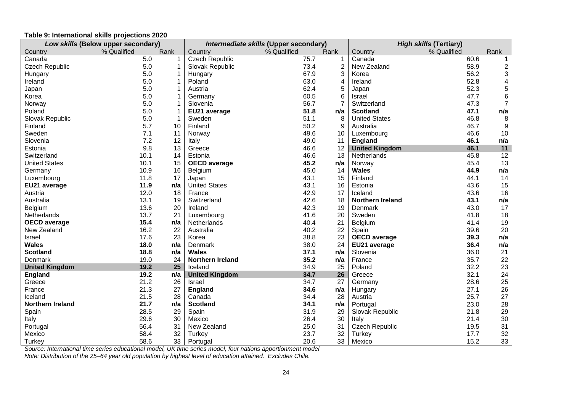#### **Table 9: International skills projections 2020**

| Low skills (Below upper secondary) |             | Intermediate skills (Upper secondary) |                       |             | <b>High skills (Tertiary)</b> |                         |             |                         |
|------------------------------------|-------------|---------------------------------------|-----------------------|-------------|-------------------------------|-------------------------|-------------|-------------------------|
| Country                            | % Qualified | Rank                                  | Country               | % Qualified | Rank                          | Country                 | % Qualified | Rank                    |
| Canada                             | 5.0         | 1                                     | Czech Republic        | 75.7        | 1                             | Canada                  | 60.6        | -1                      |
| Czech Republic                     | 5.0         |                                       | Slovak Republic       | 73.4        | 2                             | New Zealand             | 58.9        | $\overline{\mathbf{c}}$ |
| Hungary                            | 5.0         |                                       | Hungary               | 67.9        | 3                             | Korea                   | 56.2        | 3                       |
| Ireland                            | 5.0         |                                       | Poland                | 63.0        | 4                             | Ireland                 | 52.8        | 4                       |
| Japan                              | 5.0         |                                       | Austria               | 62.4        | 5                             | Japan                   | 52.3        | $\mathbf 5$             |
| Korea                              | 5.0         |                                       | Germany               | 60.5        | 6                             | Israel                  | 47.7        | $\,6$                   |
| Norway                             | 5.0         |                                       | Slovenia              | 56.7        | 7                             | Switzerland             | 47.3        | $\overline{7}$          |
| Poland                             | 5.0         |                                       | EU21 average          | 51.8        | n/a                           | <b>Scotland</b>         | 47.1        | n/a                     |
| Slovak Republic                    | 5.0         |                                       | Sweden                | 51.1        | 8                             | <b>United States</b>    | 46.8        | 8                       |
| Finland                            | 5.7         | 10                                    | Finland               | 50.2        | 9                             | Australia               | 46.7        | $\boldsymbol{9}$        |
| Sweden                             | 7.1         | 11                                    | Norway                | 49.6        | 10                            | Luxembourg              | 46.6        | 10                      |
| Slovenia                           | 7.2         | 12                                    | Italy                 | 49.0        | 11                            | <b>England</b>          | 46.1        | n/a                     |
| Estonia                            | 9.8         | 13                                    | Greece                | 46.6        | 12                            | <b>United Kingdom</b>   | 46.1        | $11$                    |
| Switzerland                        | 10.1        | 14                                    | Estonia               | 46.6        | 13                            | Netherlands             | 45.8        | 12                      |
| <b>United States</b>               | 10.1        | 15                                    | <b>OECD</b> average   | 45.2        | n/a                           | Norway                  | 45.4        | 13                      |
| Germany                            | 10.9        | 16                                    | Belgium               | 45.0        | 14                            | <b>Wales</b>            | 44.9        | n/a                     |
| Luxembourg                         | 11.8        | 17                                    | Japan                 | 43.1        | 15                            | Finland                 | 44.1        | 14                      |
| EU21 average                       | 11.9        | n/a                                   | <b>United States</b>  | 43.1        | 16                            | Estonia                 | 43.6        | 15                      |
| Austria                            | 12.0        | 18                                    | France                | 42.9        | 17                            | Iceland                 | 43.6        | 16                      |
| Australia                          | 13.1        | 19                                    | Switzerland           | 42.6        | 18                            | <b>Northern Ireland</b> | 43.1        | n/a                     |
| Belgium                            | 13.6        | 20                                    | Ireland               | 42.3        | 19                            | Denmark                 | 43.0        | 17                      |
| Netherlands                        | 13.7        | 21                                    | Luxembourg            | 41.6        | 20                            | Sweden                  | 41.8        | 18                      |
| <b>OECD</b> average                | 15.4        | n/a                                   | Netherlands           | 40.4        | 21                            | Belgium                 | 41.4        | 19                      |
| New Zealand                        | 16.2        | 22                                    | Australia             | 40.2        | 22                            | Spain                   | 39.6        | 20                      |
| Israel                             | 17.6        | 23                                    | Korea                 | 38.8        | 23                            | <b>OECD</b> average     | 39.3        | n/a                     |
| <b>Wales</b>                       | 18.0        | n/a                                   | Denmark               | 38.0        | 24                            | EU21 average            | 36.4        | n/a                     |
| <b>Scotland</b>                    | 18.8        | n/a                                   | <b>Wales</b>          | 37.1        | n/a                           | Slovenia                | 36.0        | 21                      |
| Denmark                            | 19.0        | 24                                    | Northern Ireland      | 35.2        | n/a                           | France                  | 35.7        | 22                      |
| <b>United Kingdom</b>              | 19.2        | 25                                    | Iceland               | 34.9        | 25                            | Poland                  | 32.2        | 23                      |
| <b>England</b>                     | 19.2        | n/a                                   | <b>United Kingdom</b> | 34.7        | 26                            | Greece                  | 32.1        | 24                      |
| Greece                             | 21.2        | 26                                    | Israel                | 34.7        | 27                            | Germany                 | 28.6        | 25                      |
| France                             | 21.3        | 27                                    | England               | 34.6        | n/a                           | Hungary                 | 27.1        | 26                      |
| Iceland                            | 21.5        | 28                                    | Canada                | 34.4        | 28                            | Austria                 | 25.7        | 27                      |
| Northern Ireland                   | 21.7        | n/a                                   | <b>Scotland</b>       | 34.1        | n/a                           | Portugal                | 23.0        | 28                      |
| Spain                              | 28.5        | 29                                    | Spain                 | 31.9        | 29                            | Slovak Republic         | 21.8        | 29                      |
| Italy                              | 29.6        | 30                                    | Mexico                | 26.4        | 30                            | Italy                   | 21.4        | $30\,$                  |
| Portugal                           | 56.4        | 31                                    | New Zealand           | 25.0        | 31                            | Czech Republic          | 19.5        | 31                      |
| Mexico                             | 58.4        | 32                                    | Turkey                | 23.7        | 32                            | Turkey                  | 17.7        | 32                      |
| Turkey                             | 58.6        | 33                                    | Portugal              | 20.6        | 33                            | Mexico                  | 15.2        | 33                      |

*Source: International time series educational model, UK time series model, four nations apportionment model* 

*Note: Distribution of the 25–64 year old population by highest level of education attained. Excludes Chile.*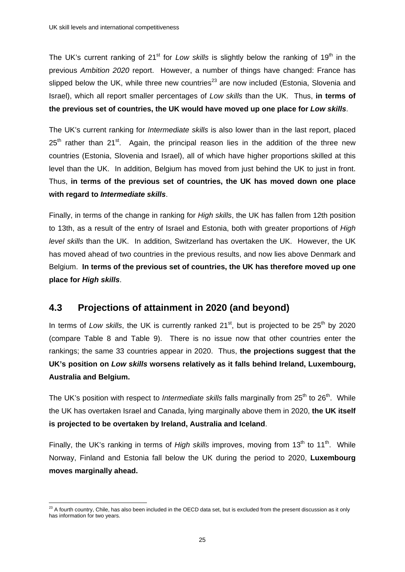The UK's current ranking of 21<sup>st</sup> for *Low skills* is slightly below the ranking of 19<sup>th</sup> in the previous *Ambition 2020* report. However, a number of things have changed: France has slipped below the UK, while three new countries<sup>23</sup> are now included (Estonia, Slovenia and Israel), which all report smaller percentages of *Low skills* than the UK. Thus, **in terms of the previous set of countries, the UK would have moved up one place for** *Low skills*.

The UK's current ranking for *Intermediate skills* is also lower than in the last report, placed  $25<sup>th</sup>$  rather than  $21<sup>st</sup>$ . Again, the principal reason lies in the addition of the three new countries (Estonia, Slovenia and Israel), all of which have higher proportions skilled at this level than the UK. In addition, Belgium has moved from just behind the UK to just in front. Thus, **in terms of the previous set of countries, the UK has moved down one place with regard to** *Intermediate skills*.

Finally, in terms of the change in ranking for *High skills*, the UK has fallen from 12th position to 13th, as a result of the entry of Israel and Estonia, both with greater proportions of *High level skills* than the UK. In addition, Switzerland has overtaken the UK. However, the UK has moved ahead of two countries in the previous results, and now lies above Denmark and Belgium. **In terms of the previous set of countries, the UK has therefore moved up one place for** *High skills*.

# **4.3 Projections of attainment in 2020 (and beyond)**

In terms of *Low skills*, the UK is currently ranked 21<sup>st</sup>, but is projected to be 25<sup>th</sup> by 2020 (compare Table 8 and Table 9). There is no issue now that other countries enter the rankings; the same 33 countries appear in 2020. Thus, **the projections suggest that the UK's position on** *Low skills* **worsens relatively as it falls behind Ireland, Luxembourg, Australia and Belgium.**

The UK's position with respect to *Intermediate skills* falls marginally from 25<sup>th</sup> to 26<sup>th</sup>. While the UK has overtaken Israel and Canada, lying marginally above them in 2020, **the UK itself is projected to be overtaken by Ireland, Australia and Iceland**.

Finally, the UK's ranking in terms of *High skills* improves, moving from 13<sup>th</sup> to 11<sup>th</sup>. While Norway, Finland and Estonia fall below the UK during the period to 2020, **Luxembourg moves marginally ahead.**

<sup>1</sup>  $^{23}$  A fourth country, Chile, has also been included in the OECD data set, but is excluded from the present discussion as it only has information for two years.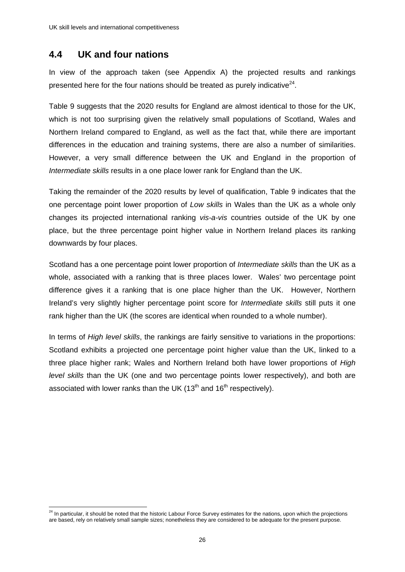# **4.4 UK and four nations**

In view of the approach taken (see Appendix A) the projected results and rankings presented here for the four nations should be treated as purely indicative<sup>24</sup>.

Table 9 suggests that the 2020 results for England are almost identical to those for the UK, which is not too surprising given the relatively small populations of Scotland, Wales and Northern Ireland compared to England, as well as the fact that, while there are important differences in the education and training systems, there are also a number of similarities. However, a very small difference between the UK and England in the proportion of *Intermediate skills* results in a one place lower rank for England than the UK.

Taking the remainder of the 2020 results by level of qualification, Table 9 indicates that the one percentage point lower proportion of *Low skills* in Wales than the UK as a whole only changes its projected international ranking *vis-a-vis* countries outside of the UK by one place, but the three percentage point higher value in Northern Ireland places its ranking downwards by four places.

Scotland has a one percentage point lower proportion of *Intermediate skills* than the UK as a whole, associated with a ranking that is three places lower. Wales' two percentage point difference gives it a ranking that is one place higher than the UK. However, Northern Ireland's very slightly higher percentage point score for *Intermediate skills* still puts it one rank higher than the UK (the scores are identical when rounded to a whole number).

In terms of *High level skills*, the rankings are fairly sensitive to variations in the proportions: Scotland exhibits a projected one percentage point higher value than the UK, linked to a three place higher rank; Wales and Northern Ireland both have lower proportions of *High level skills* than the UK (one and two percentage points lower respectively), and both are associated with lower ranks than the UK ( $13<sup>th</sup>$  and  $16<sup>th</sup>$  respectively).

<sup>1</sup>  $^{24}$  In particular, it should be noted that the historic Labour Force Survey estimates for the nations, upon which the projections are based, rely on relatively small sample sizes; nonetheless they are considered to be adequate for the present purpose.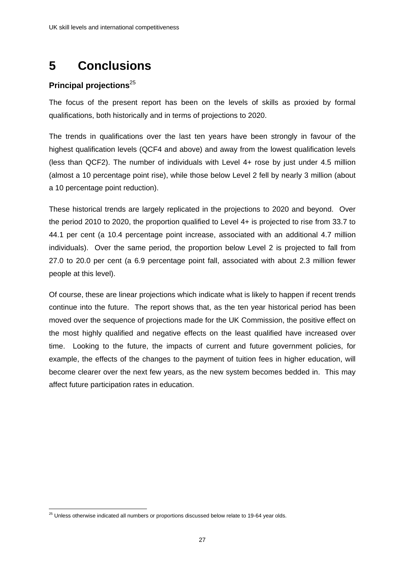# **5 Conclusions**

# **Principal projections**<sup>25</sup>

The focus of the present report has been on the levels of skills as proxied by formal qualifications, both historically and in terms of projections to 2020.

The trends in qualifications over the last ten years have been strongly in favour of the highest qualification levels (QCF4 and above) and away from the lowest qualification levels (less than QCF2). The number of individuals with Level 4+ rose by just under 4.5 million (almost a 10 percentage point rise), while those below Level 2 fell by nearly 3 million (about a 10 percentage point reduction).

These historical trends are largely replicated in the projections to 2020 and beyond. Over the period 2010 to 2020, the proportion qualified to Level 4+ is projected to rise from 33.7 to 44.1 per cent (a 10.4 percentage point increase, associated with an additional 4.7 million individuals). Over the same period, the proportion below Level 2 is projected to fall from 27.0 to 20.0 per cent (a 6.9 percentage point fall, associated with about 2.3 million fewer people at this level).

Of course, these are linear projections which indicate what is likely to happen if recent trends continue into the future. The report shows that, as the ten year historical period has been moved over the sequence of projections made for the UK Commission, the positive effect on the most highly qualified and negative effects on the least qualified have increased over time. Looking to the future, the impacts of current and future government policies, for example, the effects of the changes to the payment of tuition fees in higher education, will become clearer over the next few years, as the new system becomes bedded in. This may affect future participation rates in education.

<sup>1</sup>  $^{25}$  Unless otherwise indicated all numbers or proportions discussed below relate to 19-64 year olds.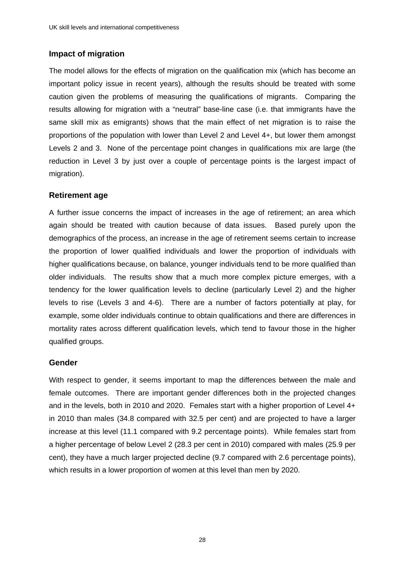## **Impact of migration**

The model allows for the effects of migration on the qualification mix (which has become an important policy issue in recent years), although the results should be treated with some caution given the problems of measuring the qualifications of migrants. Comparing the results allowing for migration with a "neutral" base-line case (i.e. that immigrants have the same skill mix as emigrants) shows that the main effect of net migration is to raise the proportions of the population with lower than Level 2 and Level 4+, but lower them amongst Levels 2 and 3. None of the percentage point changes in qualifications mix are large (the reduction in Level 3 by just over a couple of percentage points is the largest impact of migration).

## **Retirement age**

A further issue concerns the impact of increases in the age of retirement; an area which again should be treated with caution because of data issues. Based purely upon the demographics of the process, an increase in the age of retirement seems certain to increase the proportion of lower qualified individuals and lower the proportion of individuals with higher qualifications because, on balance, younger individuals tend to be more qualified than older individuals. The results show that a much more complex picture emerges, with a tendency for the lower qualification levels to decline (particularly Level 2) and the higher levels to rise (Levels 3 and 4-6). There are a number of factors potentially at play, for example, some older individuals continue to obtain qualifications and there are differences in mortality rates across different qualification levels, which tend to favour those in the higher qualified groups.

## **Gender**

With respect to gender, it seems important to map the differences between the male and female outcomes. There are important gender differences both in the projected changes and in the levels, both in 2010 and 2020. Females start with a higher proportion of Level 4+ in 2010 than males (34.8 compared with 32.5 per cent) and are projected to have a larger increase at this level (11.1 compared with 9.2 percentage points). While females start from a higher percentage of below Level 2 (28.3 per cent in 2010) compared with males (25.9 per cent), they have a much larger projected decline (9.7 compared with 2.6 percentage points), which results in a lower proportion of women at this level than men by 2020.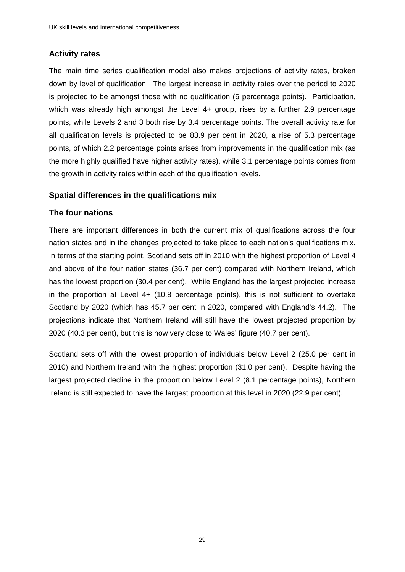# **Activity rates**

The main time series qualification model also makes projections of activity rates, broken down by level of qualification. The largest increase in activity rates over the period to 2020 is projected to be amongst those with no qualification (6 percentage points). Participation, which was already high amongst the Level 4+ group, rises by a further 2.9 percentage points, while Levels 2 and 3 both rise by 3.4 percentage points. The overall activity rate for all qualification levels is projected to be 83.9 per cent in 2020, a rise of 5.3 percentage points, of which 2.2 percentage points arises from improvements in the qualification mix (as the more highly qualified have higher activity rates), while 3.1 percentage points comes from the growth in activity rates within each of the qualification levels.

### **Spatial differences in the qualifications mix**

### **The four nations**

There are important differences in both the current mix of qualifications across the four nation states and in the changes projected to take place to each nation's qualifications mix. In terms of the starting point, Scotland sets off in 2010 with the highest proportion of Level 4 and above of the four nation states (36.7 per cent) compared with Northern Ireland, which has the lowest proportion (30.4 per cent). While England has the largest projected increase in the proportion at Level 4+ (10.8 percentage points), this is not sufficient to overtake Scotland by 2020 (which has 45.7 per cent in 2020, compared with England's 44.2). The projections indicate that Northern Ireland will still have the lowest projected proportion by 2020 (40.3 per cent), but this is now very close to Wales' figure (40.7 per cent).

Scotland sets off with the lowest proportion of individuals below Level 2 (25.0 per cent in 2010) and Northern Ireland with the highest proportion (31.0 per cent). Despite having the largest projected decline in the proportion below Level 2 (8.1 percentage points), Northern Ireland is still expected to have the largest proportion at this level in 2020 (22.9 per cent).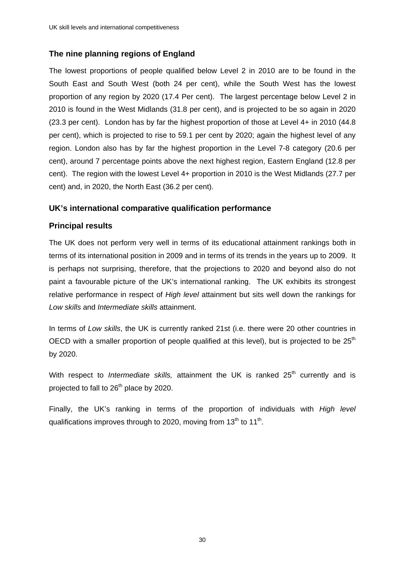# **The nine planning regions of England**

The lowest proportions of people qualified below Level 2 in 2010 are to be found in the South East and South West (both 24 per cent), while the South West has the lowest proportion of any region by 2020 (17.4 Per cent). The largest percentage below Level 2 in 2010 is found in the West Midlands (31.8 per cent), and is projected to be so again in 2020 (23.3 per cent). London has by far the highest proportion of those at Level 4+ in 2010 (44.8 per cent), which is projected to rise to 59.1 per cent by 2020; again the highest level of any region. London also has by far the highest proportion in the Level 7-8 category (20.6 per cent), around 7 percentage points above the next highest region, Eastern England (12.8 per cent). The region with the lowest Level 4+ proportion in 2010 is the West Midlands (27.7 per cent) and, in 2020, the North East (36.2 per cent).

### **UK's international comparative qualification performance**

### **Principal results**

The UK does not perform very well in terms of its educational attainment rankings both in terms of its international position in 2009 and in terms of its trends in the years up to 2009. It is perhaps not surprising, therefore, that the projections to 2020 and beyond also do not paint a favourable picture of the UK's international ranking. The UK exhibits its strongest relative performance in respect of *High level* attainment but sits well down the rankings for *Low skills* and *Intermediate skills* attainment.

In terms of *Low skills*, the UK is currently ranked 21st (i.e. there were 20 other countries in OECD with a smaller proportion of people qualified at this level), but is projected to be  $25<sup>th</sup>$ by 2020.

With respect to *Intermediate skills*, attainment the UK is ranked 25<sup>th</sup> currently and is projected to fall to 26<sup>th</sup> place by 2020.

Finally, the UK's ranking in terms of the proportion of individuals with *High level* qualifications improves through to 2020, moving from  $13<sup>th</sup>$  to  $11<sup>th</sup>$ .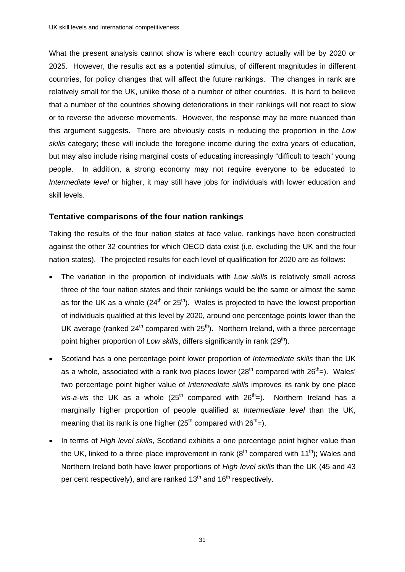What the present analysis cannot show is where each country actually will be by 2020 or 2025. However, the results act as a potential stimulus, of different magnitudes in different countries, for policy changes that will affect the future rankings. The changes in rank are relatively small for the UK, unlike those of a number of other countries. It is hard to believe that a number of the countries showing deteriorations in their rankings will not react to slow or to reverse the adverse movements. However, the response may be more nuanced than this argument suggests. There are obviously costs in reducing the proportion in the *Low skills* category; these will include the foregone income during the extra years of education, but may also include rising marginal costs of educating increasingly "difficult to teach" young people. In addition, a strong economy may not require everyone to be educated to *Intermediate level* or higher, it may still have jobs for individuals with lower education and skill levels.

### **Tentative comparisons of the four nation rankings**

Taking the results of the four nation states at face value, rankings have been constructed against the other 32 countries for which OECD data exist (i.e. excluding the UK and the four nation states). The projected results for each level of qualification for 2020 are as follows:

- The variation in the proportion of individuals with *Low skills* is relatively small across three of the four nation states and their rankings would be the same or almost the same as for the UK as a whole  $(24<sup>th</sup>$  or  $25<sup>th</sup>)$ . Wales is projected to have the lowest proportion of individuals qualified at this level by 2020, around one percentage points lower than the UK average (ranked  $24<sup>th</sup>$  compared with  $25<sup>th</sup>$ ). Northern Ireland, with a three percentage point higher proportion of *Low skills*, differs significantly in rank (29<sup>th</sup>).
- Scotland has a one percentage point lower proportion of *Intermediate skills* than the UK as a whole, associated with a rank two places lower  $(28<sup>th</sup>$  compared with  $26<sup>th</sup>=$ ). Wales' two percentage point higher value of *Intermediate skills* improves its rank by one place *vis-a-vis* the UK as a whole  $(25<sup>th</sup>$  compared with  $26<sup>th</sup>=$ ). Northern Ireland has a marginally higher proportion of people qualified at *Intermediate level* than the UK, meaning that its rank is one higher (25<sup>th</sup> compared with  $26<sup>th</sup>=$ ).
- In terms of *High level skills*, Scotland exhibits a one percentage point higher value than the UK, linked to a three place improvement in rank  $(8<sup>th</sup>$  compared with 11<sup>th</sup>); Wales and Northern Ireland both have lower proportions of *High level skills* than the UK (45 and 43 per cent respectively), and are ranked  $13<sup>th</sup>$  and  $16<sup>th</sup>$  respectively.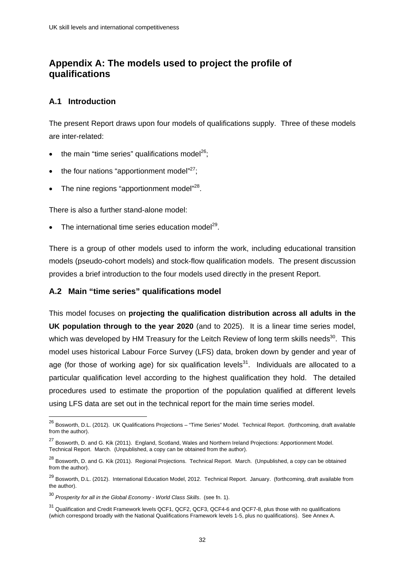# **Appendix A: The models used to project the profile of qualifications**

## **A.1 Introduction**

<u>.</u>

The present Report draws upon four models of qualifications supply. Three of these models are inter-related:

- $\bullet$  the main "time series" qualifications model<sup>26</sup>;
- $\bullet$  the four nations "apportionment model"<sup>27</sup>;
- $\bullet$  The nine regions "apportionment model"<sup>28</sup>.

There is also a further stand-alone model:

The international time series education model<sup>29</sup>.

There is a group of other models used to inform the work, including educational transition models (pseudo-cohort models) and stock-flow qualification models. The present discussion provides a brief introduction to the four models used directly in the present Report.

## **A.2 Main "time series" qualifications model**

This model focuses on **projecting the qualification distribution across all adults in the UK population through to the year 2020** (and to 2025). It is a linear time series model, which was developed by HM Treasury for the Leitch Review of long term skills needs<sup>30</sup>. This model uses historical Labour Force Survey (LFS) data, broken down by gender and year of age (for those of working age) for six qualification levels<sup>31</sup>. Individuals are allocated to a particular qualification level according to the highest qualification they hold. The detailed procedures used to estimate the proportion of the population qualified at different levels using LFS data are set out in the technical report for the main time series model.

<sup>&</sup>lt;sup>26</sup> Bosworth, D.L. (2012). UK Qualifications Projections – "Time Series" Model. Technical Report. (forthcoming, draft available from the author).

<sup>&</sup>lt;sup>27</sup> Bosworth. D. and G. Kik (2011). England, Scotland, Wales and Northern Ireland Projections: Apportionment Model. Technical Report. March. (Unpublished, a copy can be obtained from the author).

<sup>&</sup>lt;sup>28</sup> Bosworth, D. and G. Kik (2011). Regional Projections. Technical Report. March. (Unpublished, a copy can be obtained from the author).

<sup>&</sup>lt;sup>29</sup> Bosworth, D.L. (2012). International Education Model, 2012. Technical Report. January. (forthcoming, draft available from the author).

<sup>30</sup> *Prosperity for all in the Global Economy - World Class Skills*. (see fn. 1).

<sup>&</sup>lt;sup>31</sup> Qualification and Credit Framework levels QCF1, QCF2, QCF3, QCF4-6 and QCF7-8, plus those with no qualifications (which correspond broadly with the National Qualifications Framework levels 1-5, plus no qualifications). See Annex A.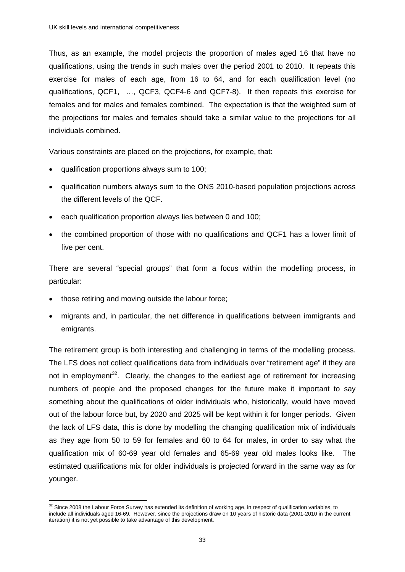Thus, as an example, the model projects the proportion of males aged 16 that have no qualifications, using the trends in such males over the period 2001 to 2010. It repeats this exercise for males of each age, from 16 to 64, and for each qualification level (no qualifications, QCF1, …, QCF3, QCF4-6 and QCF7-8). It then repeats this exercise for females and for males and females combined. The expectation is that the weighted sum of the projections for males and females should take a similar value to the projections for all individuals combined.

Various constraints are placed on the projections, for example, that:

- qualification proportions always sum to 100;
- qualification numbers always sum to the ONS 2010-based population projections across the different levels of the QCF.
- each qualification proportion always lies between 0 and 100;
- the combined proportion of those with no qualifications and QCF1 has a lower limit of five per cent.

There are several "special groups" that form a focus within the modelling process, in particular:

- those retiring and moving outside the labour force;
- migrants and, in particular, the net difference in qualifications between immigrants and emigrants.

The retirement group is both interesting and challenging in terms of the modelling process. The LFS does not collect qualifications data from individuals over "retirement age" if they are not in employment<sup>32</sup>. Clearly, the changes to the earliest age of retirement for increasing numbers of people and the proposed changes for the future make it important to say something about the qualifications of older individuals who, historically, would have moved out of the labour force but, by 2020 and 2025 will be kept within it for longer periods. Given the lack of LFS data, this is done by modelling the changing qualification mix of individuals as they age from 50 to 59 for females and 60 to 64 for males, in order to say what the qualification mix of 60-69 year old females and 65-69 year old males looks like. The estimated qualifications mix for older individuals is projected forward in the same way as for younger.

<sup>&</sup>lt;u>.</u>  $32$  Since 2008 the Labour Force Survey has extended its definition of working age, in respect of qualification variables, to include all individuals aged 16-69. However, since the projections draw on 10 years of historic data (2001-2010 in the current iteration) it is not yet possible to take advantage of this development.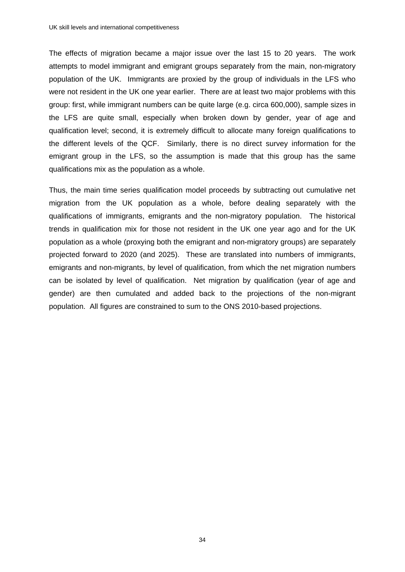The effects of migration became a major issue over the last 15 to 20 years. The work attempts to model immigrant and emigrant groups separately from the main, non-migratory population of the UK. Immigrants are proxied by the group of individuals in the LFS who were not resident in the UK one year earlier. There are at least two major problems with this group: first, while immigrant numbers can be quite large (e.g. circa 600,000), sample sizes in the LFS are quite small, especially when broken down by gender, year of age and qualification level; second, it is extremely difficult to allocate many foreign qualifications to the different levels of the QCF. Similarly, there is no direct survey information for the emigrant group in the LFS, so the assumption is made that this group has the same qualifications mix as the population as a whole.

Thus, the main time series qualification model proceeds by subtracting out cumulative net migration from the UK population as a whole, before dealing separately with the qualifications of immigrants, emigrants and the non-migratory population. The historical trends in qualification mix for those not resident in the UK one year ago and for the UK population as a whole (proxying both the emigrant and non-migratory groups) are separately projected forward to 2020 (and 2025). These are translated into numbers of immigrants, emigrants and non-migrants, by level of qualification, from which the net migration numbers can be isolated by level of qualification. Net migration by qualification (year of age and gender) are then cumulated and added back to the projections of the non-migrant population. All figures are constrained to sum to the ONS 2010-based projections.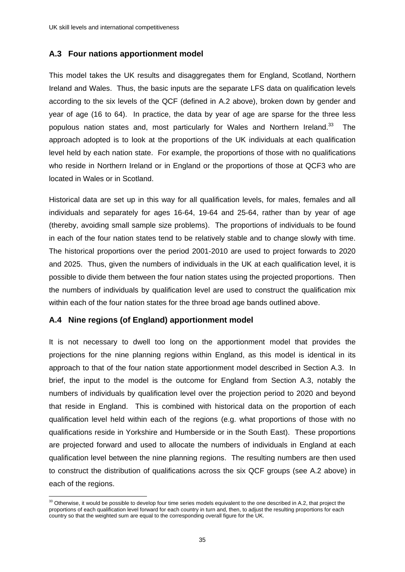## **A.3 Four nations apportionment model**

This model takes the UK results and disaggregates them for England, Scotland, Northern Ireland and Wales. Thus, the basic inputs are the separate LFS data on qualification levels according to the six levels of the QCF (defined in A.2 above), broken down by gender and year of age (16 to 64). In practice, the data by year of age are sparse for the three less populous nation states and, most particularly for Wales and Northern Ireland.<sup>33</sup> The approach adopted is to look at the proportions of the UK individuals at each qualification level held by each nation state. For example, the proportions of those with no qualifications who reside in Northern Ireland or in England or the proportions of those at QCF3 who are located in Wales or in Scotland.

Historical data are set up in this way for all qualification levels, for males, females and all individuals and separately for ages 16-64, 19-64 and 25-64, rather than by year of age (thereby, avoiding small sample size problems). The proportions of individuals to be found in each of the four nation states tend to be relatively stable and to change slowly with time. The historical proportions over the period 2001-2010 are used to project forwards to 2020 and 2025. Thus, given the numbers of individuals in the UK at each qualification level, it is possible to divide them between the four nation states using the projected proportions. Then the numbers of individuals by qualification level are used to construct the qualification mix within each of the four nation states for the three broad age bands outlined above.

#### **A.4 Nine regions (of England) apportionment model**

<u>.</u>

It is not necessary to dwell too long on the apportionment model that provides the projections for the nine planning regions within England, as this model is identical in its approach to that of the four nation state apportionment model described in Section A.3. In brief, the input to the model is the outcome for England from Section A.3, notably the numbers of individuals by qualification level over the projection period to 2020 and beyond that reside in England. This is combined with historical data on the proportion of each qualification level held within each of the regions (e.g. what proportions of those with no qualifications reside in Yorkshire and Humberside or in the South East). These proportions are projected forward and used to allocate the numbers of individuals in England at each qualification level between the nine planning regions. The resulting numbers are then used to construct the distribution of qualifications across the six QCF groups (see A.2 above) in each of the regions.

 $33$  Otherwise, it would be possible to develop four time series models equivalent to the one described in A.2, that project the proportions of each qualification level forward for each country in turn and, then, to adjust the resulting proportions for each country so that the weighted sum are equal to the corresponding overall figure for the UK.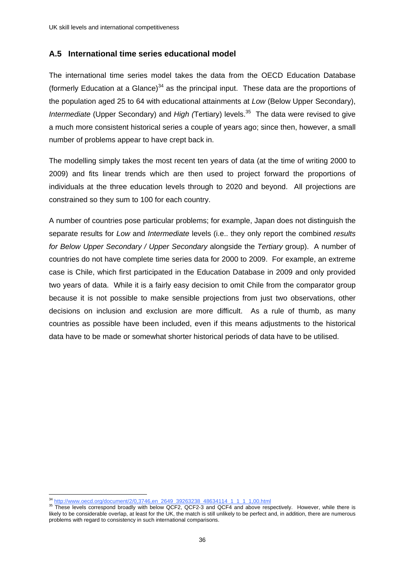## **A.5 International time series educational model**

The international time series model takes the data from the OECD Education Database (formerly Education at a Glance)<sup>34</sup> as the principal input. These data are the proportions of the population aged 25 to 64 with educational attainments at *Low* (Below Upper Secondary), *Intermediate* (Upper Secondary) and *High* (Tertiary) levels.<sup>35</sup> The data were revised to give a much more consistent historical series a couple of years ago; since then, however, a small number of problems appear to have crept back in.

The modelling simply takes the most recent ten years of data (at the time of writing 2000 to 2009) and fits linear trends which are then used to project forward the proportions of individuals at the three education levels through to 2020 and beyond. All projections are constrained so they sum to 100 for each country.

A number of countries pose particular problems; for example, Japan does not distinguish the separate results for *Low* and *Intermediate* levels (i.e.. they only report the combined *results for Below Upper Secondary / Upper Secondary* alongside the *Tertiary* group). A number of countries do not have complete time series data for 2000 to 2009. For example, an extreme case is Chile, which first participated in the Education Database in 2009 and only provided two years of data. While it is a fairly easy decision to omit Chile from the comparator group because it is not possible to make sensible projections from just two observations, other decisions on inclusion and exclusion are more difficult. As a rule of thumb, as many countries as possible have been included, even if this means adjustments to the historical data have to be made or somewhat shorter historical periods of data have to be utilised.

1

<sup>&</sup>lt;sup>34</sup> http://www.oecd.org/document/2/0,3746,en\_2649\_39263238\_48634114\_1\_1\_1\_1,00.html 35 These levels correspond broadly with below QCF2, QCF2-3 and QCF4 and above respectively. However, while there is likely to be considerable overlap, at least for the UK, the match is still unlikely to be perfect and, in addition, there are numerous problems with regard to consistency in such international comparisons.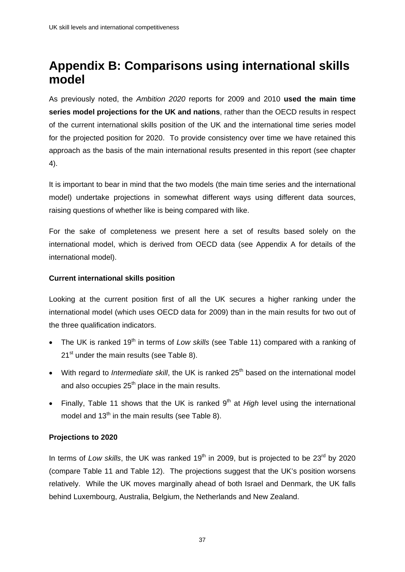# **Appendix B: Comparisons using international skills model**

As previously noted, the *Ambition 2020* reports for 2009 and 2010 **used the main time series model projections for the UK and nations**, rather than the OECD results in respect of the current international skills position of the UK and the international time series model for the projected position for 2020. To provide consistency over time we have retained this approach as the basis of the main international results presented in this report (see chapter 4).

It is important to bear in mind that the two models (the main time series and the international model) undertake projections in somewhat different ways using different data sources, raising questions of whether like is being compared with like.

For the sake of completeness we present here a set of results based solely on the international model, which is derived from OECD data (see Appendix A for details of the international model).

### **Current international skills position**

Looking at the current position first of all the UK secures a higher ranking under the international model (which uses OECD data for 2009) than in the main results for two out of the three qualification indicators.

- The UK is ranked 19<sup>th</sup> in terms of *Low skills* (see Table 11) compared with a ranking of 21<sup>st</sup> under the main results (see Table 8).
- With regard to *Intermediate skill*, the UK is ranked 25<sup>th</sup> based on the international model and also occupies  $25<sup>th</sup>$  place in the main results.
- Finally, Table 11 shows that the UK is ranked 9<sup>th</sup> at *High* level using the international model and  $13<sup>th</sup>$  in the main results (see Table 8).

## **Projections to 2020**

In terms of *Low skills*, the UK was ranked 19<sup>th</sup> in 2009, but is projected to be 23<sup>rd</sup> by 2020 (compare Table 11 and Table 12). The projections suggest that the UK's position worsens relatively. While the UK moves marginally ahead of both Israel and Denmark, the UK falls behind Luxembourg, Australia, Belgium, the Netherlands and New Zealand.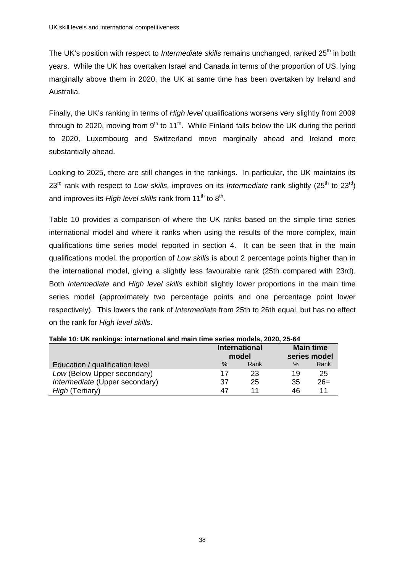The UK's position with respect to *Intermediate skills* remains unchanged, ranked 25<sup>th</sup> in both years. While the UK has overtaken Israel and Canada in terms of the proportion of US, lying marginally above them in 2020, the UK at same time has been overtaken by Ireland and Australia.

Finally, the UK's ranking in terms of *High level* qualifications worsens very slightly from 2009 through to 2020, moving from  $9<sup>th</sup>$  to 11<sup>th</sup>. While Finland falls below the UK during the period to 2020, Luxembourg and Switzerland move marginally ahead and Ireland more substantially ahead.

Looking to 2025, there are still changes in the rankings. In particular, the UK maintains its 23<sup>rd</sup> rank with respect to *Low skills*, improves on its *Intermediate* rank slightly (25<sup>th</sup> to 23<sup>rd</sup>) and improves its *High level skills* rank from 11<sup>th</sup> to 8<sup>th</sup>.

Table 10 provides a comparison of where the UK ranks based on the simple time series international model and where it ranks when using the results of the more complex, main qualifications time series model reported in section 4. It can be seen that in the main qualifications model, the proportion of *Low skills* is about 2 percentage points higher than in the international model, giving a slightly less favourable rank (25th compared with 23rd). Both *Intermediate* and *High level skills* exhibit slightly lower proportions in the main time series model (approximately two percentage points and one percentage point lower respectively). This lowers the rank of *Intermediate* from 25th to 26th equal, but has no effect on the rank for *High level skills*.

| Table TV: ON Fankings: international and main time series models, 2020, 25-64 |    |                               |      |                                  |  |  |  |  |  |  |
|-------------------------------------------------------------------------------|----|-------------------------------|------|----------------------------------|--|--|--|--|--|--|
|                                                                               |    | <b>International</b><br>model |      | <b>Main time</b><br>series model |  |  |  |  |  |  |
| Education / qualification level                                               | ℅  | Rank                          | $\%$ | Rank                             |  |  |  |  |  |  |
| Low (Below Upper secondary)                                                   | 17 | 23                            | 19   | 25                               |  |  |  |  |  |  |
| Intermediate (Upper secondary)                                                | 37 | 25                            | 35   | $26=$                            |  |  |  |  |  |  |
| High (Tertiary)                                                               | 47 |                               | 46   | 11                               |  |  |  |  |  |  |

**Table 10: UK rankings: international and main time series models, 2020, 25-64**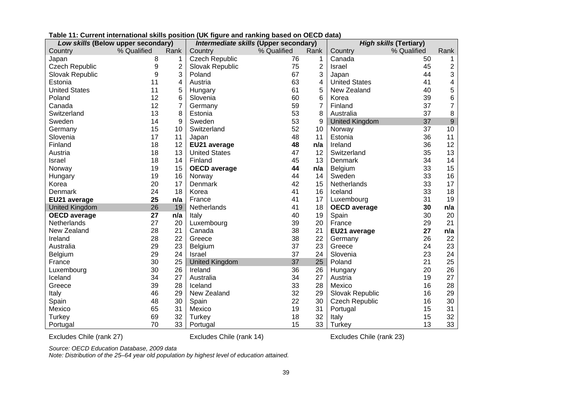| Low skills (Below upper secondary) |             |                | Intermediate skills (Upper secondary) |             |                | <b>High skills (Tertiary)</b> |             |                |
|------------------------------------|-------------|----------------|---------------------------------------|-------------|----------------|-------------------------------|-------------|----------------|
| Country                            | % Qualified | Rank           | Country                               | % Qualified | Rank           | Country                       | % Qualified | Rank           |
| Japan                              | 8           | 1              | <b>Czech Republic</b>                 | 76          | 1              | Canada                        | 50          |                |
| <b>Czech Republic</b>              | 9           | 2              | Slovak Republic                       | 75          | $\overline{2}$ | Israel                        | 45          | 2              |
| Slovak Republic                    | 9           | 3              | Poland                                | 67          | 3              | Japan                         | 44          | 3              |
| Estonia                            | 11          | 4              | Austria                               | 63          | 4              | <b>United States</b>          | 41          | 4              |
| <b>United States</b>               | 11          | $\mathbf 5$    | Hungary                               | 61          | 5              | New Zealand                   | 40          | 5              |
| Poland                             | 12          | 6              | Slovenia                              | 60          | 6              | Korea                         | 39          | 6              |
| Canada                             | 12          | $\overline{7}$ | Germany                               | 59          | $\overline{7}$ | Finland                       | 37          | $\overline{7}$ |
| Switzerland                        | 13          | 8              | Estonia                               | 53          | 8              | Australia                     | 37          | 8              |
| Sweden                             | 14          | 9              | Sweden                                | 53          | 9              | <b>United Kingdom</b>         | 37          | $\mathsf 9$    |
| Germany                            | 15          | 10             | Switzerland                           | 52          | 10             | Norway                        | 37          | 10             |
| Slovenia                           | 17          | 11             | Japan                                 | 48          | 11             | Estonia                       | 36          | 11             |
| Finland                            | 18          | 12             | EU21 average                          | 48          | n/a            | Ireland                       | 36          | 12             |
| Austria                            | 18          | 13             | <b>United States</b>                  | 47          | 12             | Switzerland                   | 35          | 13             |
| <b>Israel</b>                      | 18          | 14             | Finland                               | 45          | 13             | Denmark                       | 34          | 14             |
| Norway                             | 19          | 15             | <b>OECD</b> average                   | 44          | n/a            | Belgium                       | 33          | 15             |
| Hungary                            | 19          | 16             | Norway                                | 44          | 14             | Sweden                        | 33          | 16             |
| Korea                              | 20          | 17             | Denmark                               | 42          | 15             | Netherlands                   | 33          | 17             |
| Denmark                            | 24          | 18             | Korea                                 | 41          | 16             | Iceland                       | 33          | 18             |
| EU21 average                       | 25          | n/a            | France                                | 41          | 17             | Luxembourg                    | 31          | 19             |
| <b>United Kingdom</b>              | 26          | 19             | Netherlands                           | 41          | 18             | <b>OECD</b> average           | 30          | n/a            |
| <b>OECD</b> average                | 27          | n/a            | Italy                                 | 40          | 19             | Spain                         | 30          | 20             |
| Netherlands                        | 27          | 20             | Luxembourg                            | 39          | 20             | France                        | 29          | 21             |
| New Zealand                        | 28          | 21             | Canada                                | 38          | 21             | EU21 average                  | 27          | n/a            |
| Ireland                            | 28          | 22             | Greece                                | 38          | 22             | Germany                       | 26          | 22             |
| Australia                          | 29          | 23             | Belgium                               | 37          | 23             | Greece                        | 24          | 23             |
| Belgium                            | 29          | 24             | Israel                                | 37          | 24             | Slovenia                      | 23          | 24             |
| France                             | 30          | 25             | <b>United Kingdom</b>                 | 37          | 25             | Poland                        | 21          | 25             |
| Luxembourg                         | 30          | 26             | Ireland                               | 36          | 26             | Hungary                       | 20          | 26             |
| Iceland                            | 34          | 27             | Australia                             | 34          | 27             | Austria                       | 19          | 27             |
| Greece                             | 39          | 28             | Iceland                               | 33          | 28             | Mexico                        | 16          | 28             |
| Italy                              | 46          | 29             | New Zealand                           | 32          | 29             | Slovak Republic               | 16          | 29             |
| Spain                              | 48          | 30             | Spain                                 | 22          | 30             | <b>Czech Republic</b>         | 16          | 30             |
| Mexico                             | 65          | 31             | Mexico                                | 19          | 31             | Portugal                      | 15          | 31             |
| Turkey                             | 69          | 32             | <b>Turkey</b>                         | 18          | 32             | Italy                         | 15          | 32             |
| Portugal                           | 70          | 33             | Portugal                              | 15          | 33             | Turkey                        | 13          | 33             |

#### **Table 11: Current international skills position (UK figure and ranking based on OECD data)**

Excludes Chile (rank 27) Excludes Chile (rank 14) Excludes Chile (rank 23)

*Source: OECD Education Database, 2009 data* 

*Note: Distribution of the 25–64 year old population by highest level of education attained.*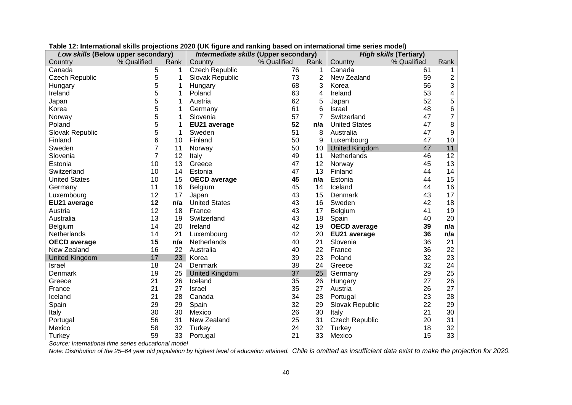| Low skills (Below upper secondary) |             |      | Intermediate skills (Upper secondary) |             |      | <b>High skills (Tertiary)</b> |             |                |  |
|------------------------------------|-------------|------|---------------------------------------|-------------|------|-------------------------------|-------------|----------------|--|
| Country                            | % Qualified | Rank | Country                               | % Qualified | Rank | Country                       | % Qualified | Rank           |  |
| Canada                             | 5           | 1    | <b>Czech Republic</b>                 | 76          |      | Canada                        | 61          |                |  |
| <b>Czech Republic</b>              | 5           | 1    | Slovak Republic                       | 73          | 2    | New Zealand                   | 59          | 2              |  |
| Hungary                            | 5           | 1    | Hungary                               | 68          | 3    | Korea                         | 56          | 3              |  |
| Ireland                            | 5           | 1    | Poland                                | 63          | 4    | Ireland                       | 53          | 4              |  |
| Japan                              | 5           | 1    | Austria                               | 62          | 5    | Japan                         | 52          | 5              |  |
| Korea                              | 5           | 1    | Germany                               | 61          | 6    | Israel                        | 48          | 6              |  |
| Norway                             | 5           | 1    | Slovenia                              | 57          |      | Switzerland                   | 47          | $\overline{7}$ |  |
| Poland                             | 5           | 1    | EU21 average                          | 52          | n/a  | <b>United States</b>          | 47          | 8              |  |
| Slovak Republic                    | 5           | 1    | Sweden                                | 51          | 8    | Australia                     | 47          | 9              |  |
| Finland                            | 6           | 10   | Finland                               | 50          | 9    | Luxembourg                    | 47          | 10             |  |
| Sweden                             | 7           | 11   | Norway                                | 50          | 10   | <b>United Kingdom</b>         | 47          | 11             |  |
| Slovenia                           | 7           | 12   | Italy                                 | 49          | 11   | Netherlands                   | 46          | 12             |  |
| Estonia                            | 10          | 13   | Greece                                | 47          | 12   | Norway                        | 45          | 13             |  |
| Switzerland                        | 10          | 14   | Estonia                               | 47          | 13   | Finland                       | 44          | 14             |  |
| <b>United States</b>               | 10          | 15   | <b>OECD</b> average                   | 45          | n/a  | Estonia                       | 44          | 15             |  |
| Germany                            | 11          | 16   | Belgium                               | 45          | 14   | Iceland                       | 44          | 16             |  |
| Luxembourg                         | 12          | 17   | Japan                                 | 43          | 15   | Denmark                       | 43          | 17             |  |
| EU21 average                       | 12          | n/a  | <b>United States</b>                  | 43          | 16   | Sweden                        | 42          | 18             |  |
| Austria                            | 12          | 18   | France                                | 43          | 17   | Belgium                       | 41          | 19             |  |
| Australia                          | 13          | 19   | Switzerland                           | 43          | 18   | Spain                         | 40          | 20             |  |
| <b>Belgium</b>                     | 14          | 20   | Ireland                               | 42          | 19   | <b>OECD</b> average           | 39          | n/a            |  |
| Netherlands                        | 14          | 21   | Luxembourg                            | 42          | 20   | EU21 average                  | 36          | n/a            |  |
| <b>OECD</b> average                | 15          | n/a  | Netherlands                           | 40          | 21   | Slovenia                      | 36          | 21             |  |
| New Zealand                        | 16          | 22   | Australia                             | 40          | 22   | France                        | 36          | 22             |  |
| <b>United Kingdom</b>              | 17          | 23   | Korea                                 | 39          | 23   | Poland                        | 32          | 23             |  |
| Israel                             | 18          | 24   | Denmark                               | 38          | 24   | Greece                        | 32          | 24             |  |
| Denmark                            | 19          | 25   | <b>United Kingdom</b>                 | 37          | 25   | Germany                       | 29          | 25             |  |
| Greece                             | 21          | 26   | Iceland                               | 35          | 26   | Hungary                       | 27          | 26             |  |
| France                             | 21          | 27   | <b>Israel</b>                         | 35          | 27   | Austria                       | 26          | 27             |  |
| Iceland                            | 21          | 28   | Canada                                | 34          | 28   | Portugal                      | 23          | 28             |  |
| Spain                              | 29          | 29   | Spain                                 | 32          | 29   | Slovak Republic               | 22          | 29             |  |
| Italy                              | 30          | 30   | Mexico                                | 26          | 30   | Italy                         | 21          | 30             |  |
| Portugal                           | 56          | 31   | New Zealand                           | 25          | 31   | <b>Czech Republic</b>         | 20          | 31             |  |
| Mexico                             | 58          | 32   | <b>Turkey</b>                         | 24          | 32   | Turkey                        | 18          | 32             |  |
| Turkey                             | 59          | 33   | Portugal                              | 21          | 33   | Mexico                        | 15          | 33             |  |

**Table 12: International skills projections 2020 (UK figure and ranking based on international time series model)** 

*Source: International time series educational model* 

*Note: Distribution of the 25–64 year old population by highest level of education attained. Chile is omitted as insufficient data exist to make the projection for 2020.*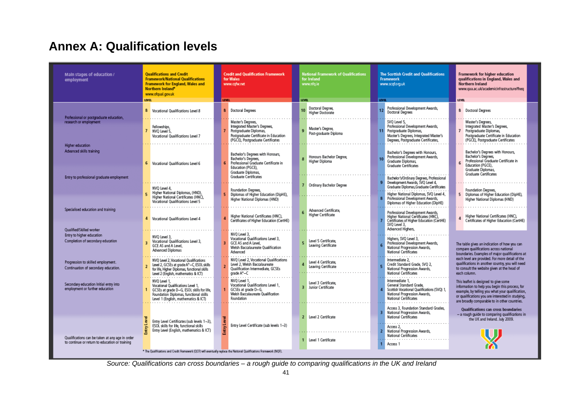# **Annex A: Qualification levels**

| Main stages of education /<br>employment                                                          | <b>Qualifications and Credit</b><br><b>Framework/National Oualifications</b><br>Framework for England, Wales and<br>Northern Ireland*<br>www.ofqual.gov.uk                        | <b>Credit and Qualification Framework</b><br>for Wales<br>www.cgfw.net                                                                                    | <b>National Framework of Qualifications</b><br>for Ireland<br>www.nfg.ie | The Scottish Credit and Qualifications<br>Framework<br>www.scgforg.uk                                                                                         | Framework for higher education<br>qualifications in England, Wales and<br>Northern Ireland<br>www.gaa.ac.uk/academicinfrastructure/fheg                                                                                                            |
|---------------------------------------------------------------------------------------------------|-----------------------------------------------------------------------------------------------------------------------------------------------------------------------------------|-----------------------------------------------------------------------------------------------------------------------------------------------------------|--------------------------------------------------------------------------|---------------------------------------------------------------------------------------------------------------------------------------------------------------|----------------------------------------------------------------------------------------------------------------------------------------------------------------------------------------------------------------------------------------------------|
|                                                                                                   | <b>LEVEL</b>                                                                                                                                                                      | <b>EVEL</b>                                                                                                                                               | <b>LEVEL</b>                                                             | LEVEL.                                                                                                                                                        | <b>LEVEL</b>                                                                                                                                                                                                                                       |
| Professional or postgraduate education,                                                           | 8 Vocational Qualifications Level 8                                                                                                                                               | Doctoral Degrees                                                                                                                                          | Doctoral Degree,<br>10<br><b>Higher Doctorate</b>                        | Professional Development Awards,<br>12<br>Doctoral Degrees                                                                                                    | 8 Doctoral Degrees                                                                                                                                                                                                                                 |
| research or employment                                                                            | Fellowships,<br>7 NVO Level 5.<br>Vocational Qualifications Level 7                                                                                                               | Master's Degrees,<br>Integrated Master's Degrees,<br>Postgraduate Diplomas.<br>Postgraduate Certificate in Education<br>(PGCE), Postgraduate Certificates | Master's Degree,<br>Post-graduate Diploma                                | SVQ Level 5,<br>Professional Development Awards.<br>11 Postgraduate Diplomas.<br>Master's Degrees, Integrated Master's<br>Degrees, Postgraduate Certificates, | Master's Degrees,<br>Integrated Master's Degrees,<br>7 Postgraduate Diplomas.<br>Postgraduate Certificate in Education<br>(PGCE), Postgraduate Certificates                                                                                        |
| Higher education                                                                                  |                                                                                                                                                                                   |                                                                                                                                                           |                                                                          |                                                                                                                                                               |                                                                                                                                                                                                                                                    |
| Advanced skills training                                                                          | 6 Vocational Qualifications Level 6                                                                                                                                               | Bachelor's Degrees with Honours,<br>Bachelor's Degrees,<br>Professional Graduate Certificate in<br>Education (PGCE).<br>Graduate Diplomas.                | Honours Bachelor Degree,<br>Higher Diploma                               | Bachelor's Degrees with Honours,<br>Professional Development Awards,<br>Graduate Diplomas<br><b>Graduate Certificates</b>                                     | Bachelor's Degrees with Honours,<br>Bachelor's Degrees,<br>Professional Graduate Certificate in<br>Education (PGCE).<br>Graduate Diplomas,<br><b>Graduate Certificates</b>                                                                         |
| Entry to professional graduate employment                                                         | NVO Level 4.                                                                                                                                                                      | <b>Graduate Certificates</b>                                                                                                                              | 7 Ordinary Bachelor Degree                                               | Bachelor's/Ordinary Degrees, Professional<br>Development Awards, SVQ Level 4,<br>Graduate Diplomas Graduate Certificates                                      |                                                                                                                                                                                                                                                    |
|                                                                                                   | Higher National Diplomas, (HND),<br>Higher National Certificates (HNC),<br>Vocational Qualifications Level 5                                                                      | Foundation Degrees,<br>Diplomas of Higher Education (DipHE),<br>Higher National Diplomas (HND)                                                            |                                                                          | Higher National Diplomas, SVQ Level 4,<br>Professional Development Awards,<br>Diplomas of Higher Education (DipHE)                                            | Foundation Degrees,<br>5 Diplomas of Higher Education (DipHE),<br>Higher National Diplomas (HND)                                                                                                                                                   |
| Specialised education and training                                                                | 4 Vocational Qualifications Level 4                                                                                                                                               | Higher National Certificates (HNC),<br>Certificates of Higher Education (CertHE)                                                                          | Advanced Certificate,<br><b>Higher Certificate</b>                       | Professional Development Awards.<br>Higher National Certificates (HNC).<br>Certificates of Higher Education (CertHE)<br>SVQ Level 3,                          | Higher National Certificates (HNC),<br>Certificates of Higher Education (CertHE)                                                                                                                                                                   |
| Qualified/Skilled worker                                                                          |                                                                                                                                                                                   |                                                                                                                                                           |                                                                          | Advanced Highers,                                                                                                                                             |                                                                                                                                                                                                                                                    |
| Entry to higher education<br>Completion of secondary education                                    | NVQ Level 3,<br>Vocational Qualifications Level 3.<br>GCE AS and A Level.<br><b>Advanced Diplomas</b>                                                                             | NVO Level 3.<br>Vocational Qualifications Level 3,<br>GCE AS and A Level,<br>Welsh Baccalaureate Oualification<br>Advanced                                | Level 5 Certificate.<br>Leaving Certificate                              | Highers, SVQ Level 3,<br>Professional Development Awards,<br>National Progression Awards,<br>National Certificates                                            | The table gives an indication of how you can<br>compare qualifications across national<br>boundaries. Examples of major qualifications at                                                                                                          |
| Progression to skilled employment.<br>Continuation of secondary education.                        | NVO Level 2. Vocational Oualifications<br>Level 2, GCSEs at grade A*-C, ESOL skills<br>for life, Higher Diplomas, functional skills<br>Level 2 (English, mathematics & ICT)       | NVO Level 2. Vocational Oualifications<br>Level 2, Welsh Baccalaureate<br><b>Oualification Intermediate, GCSEs</b><br>grade A*-C                          | Level 4 Certificate,<br>Leaving Certificate                              | Intermediate 2.<br>Credit Standard Grade, SVQ 2,<br>National Progression Awards,<br>National Certificates                                                     | each level are provided. For more detail of the<br>qualifications in another country, you will need<br>to consult the website given at the head of<br>each column.                                                                                 |
| Secondary education Initial entry into<br>employment or further education                         | NVO Level 1.<br>Vocational Qualifications Level 1,<br>GCSEs at grade D-G, ESOL skills for life,<br>Foundation Diplomas, functional skills<br>Level 1 (English, mathematics & ICT) | NVO Level 1.<br>Vocational Qualifications Level 1,<br>GCSEs at grade D-G,<br>Welsh Baccalaureate Oualification<br>Foundation                              | Level 3 Certificate.<br>3 Junior Certificate                             | Intermediate 1.<br>General Standard Grade,<br>Scottish Vocational Qualifications (SVQ) 1,<br>National Progression Awards.<br>National Certificates            | This leaflet is designed to give some<br>information to help you begin this process, for<br>example, by telling you what your qualification,<br>or qualifications you are interested in studying,<br>are broadly comparable to in other countries. |
|                                                                                                   | Entry Level Certificates (sub levels 1-3).<br>ESOL skills for life, functional skills                                                                                             | Entry Level Certificate (sub levels 1-3)                                                                                                                  | 2 Level 2 Certificate                                                    | Access 3, Foundation Standard Grades,<br>National Progression Awards,<br><b>National Certificates</b><br>Access 2.                                            | Qualifications can cross boundaries<br>- a rough quide to comparing qualifications in<br>the UK and Ireland. July 2009.                                                                                                                            |
| Qualifications can be taken at any age in order<br>to continue or return to education or training | Entry Level (English, mathematics & ICT)                                                                                                                                          | Entry                                                                                                                                                     | 1 Level 1 Certificate                                                    | National Progression Awards,<br><b>National Certificates</b><br>Access 1                                                                                      |                                                                                                                                                                                                                                                    |
|                                                                                                   |                                                                                                                                                                                   | * The Qualifications and Credit Framework (QCF) will eventually replace the National Qualifications Framework (NQF).                                      |                                                                          |                                                                                                                                                               |                                                                                                                                                                                                                                                    |

*Source: Qualifications can cross boundaries – a rough guide to comparing qualifications in the UK and Ireland*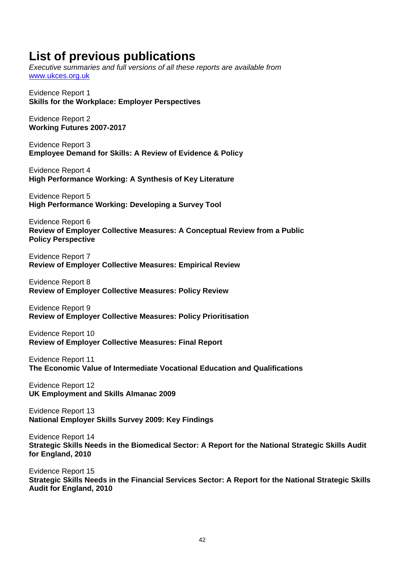# **List of previous publications**

*Executive summaries and full versions of all these reports are available from*  www.ukces.org.uk

Evidence Report 1 **Skills for the Workplace: Employer Perspectives** 

Evidence Report 2 **Working Futures 2007-2017** 

Evidence Report 3 **Employee Demand for Skills: A Review of Evidence & Policy** 

Evidence Report 4 **High Performance Working: A Synthesis of Key Literature** 

Evidence Report 5 **High Performance Working: Developing a Survey Tool** 

Evidence Report 6 **Review of Employer Collective Measures: A Conceptual Review from a Public Policy Perspective** 

Evidence Report 7 **Review of Employer Collective Measures: Empirical Review** 

Evidence Report 8 **Review of Employer Collective Measures: Policy Review** 

Evidence Report 9 **Review of Employer Collective Measures: Policy Prioritisation** 

Evidence Report 10 **Review of Employer Collective Measures: Final Report** 

Evidence Report 11 **The Economic Value of Intermediate Vocational Education and Qualifications** 

Evidence Report 12 **UK Employment and Skills Almanac 2009** 

Evidence Report 13 **National Employer Skills Survey 2009: Key Findings** 

Evidence Report 14 **Strategic Skills Needs in the Biomedical Sector: A Report for the National Strategic Skills Audit for England, 2010** 

Evidence Report 15 **Strategic Skills Needs in the Financial Services Sector: A Report for the National Strategic Skills Audit for England, 2010**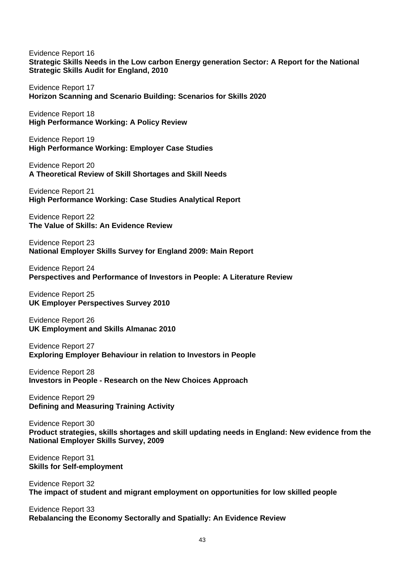Evidence Report 16 **Strategic Skills Needs in the Low carbon Energy generation Sector: A Report for the National Strategic Skills Audit for England, 2010** 

Evidence Report 17 **Horizon Scanning and Scenario Building: Scenarios for Skills 2020** 

Evidence Report 18 **High Performance Working: A Policy Review** 

Evidence Report 19 **High Performance Working: Employer Case Studies** 

Evidence Report 20 **A Theoretical Review of Skill Shortages and Skill Needs** 

Evidence Report 21 **High Performance Working: Case Studies Analytical Report** 

Evidence Report 22 **The Value of Skills: An Evidence Review** 

Evidence Report 23 **National Employer Skills Survey for England 2009: Main Report** 

Evidence Report 24 **Perspectives and Performance of Investors in People: A Literature Review** 

Evidence Report 25 **UK Employer Perspectives Survey 2010** 

Evidence Report 26 **UK Employment and Skills Almanac 2010** 

Evidence Report 27 **Exploring Employer Behaviour in relation to Investors in People** 

Evidence Report 28 **Investors in People - Research on the New Choices Approach** 

Evidence Report 29 **Defining and Measuring Training Activity** 

Evidence Report 30 **Product strategies, skills shortages and skill updating needs in England: New evidence from the National Employer Skills Survey, 2009** 

Evidence Report 31 **Skills for Self-employment** 

Evidence Report 32 **The impact of student and migrant employment on opportunities for low skilled people** 

Evidence Report 33 **Rebalancing the Economy Sectorally and Spatially: An Evidence Review**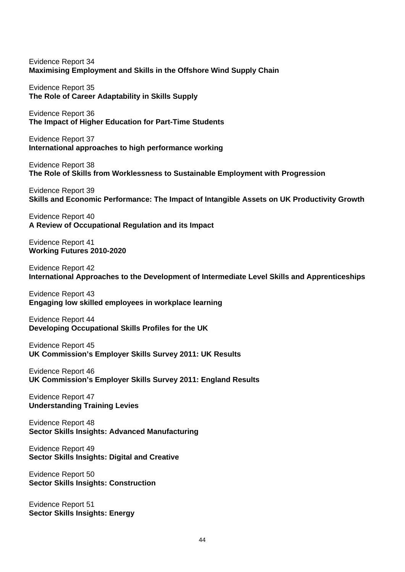Evidence Report 34 **Maximising Employment and Skills in the Offshore Wind Supply Chain** 

Evidence Report 35 **The Role of Career Adaptability in Skills Supply** 

Evidence Report 36 **The Impact of Higher Education for Part-Time Students** 

Evidence Report 37 **International approaches to high performance working** 

Evidence Report 38 **The Role of Skills from Worklessness to Sustainable Employment with Progression** 

Evidence Report 39 **Skills and Economic Performance: The Impact of Intangible Assets on UK Productivity Growth** 

Evidence Report 40 **A Review of Occupational Regulation and its Impact** 

Evidence Report 41 **Working Futures 2010-2020** 

Evidence Report 42 **International Approaches to the Development of Intermediate Level Skills and Apprenticeships** 

Evidence Report 43 **Engaging low skilled employees in workplace learning** 

Evidence Report 44 **Developing Occupational Skills Profiles for the UK** 

Evidence Report 45 **UK Commission's Employer Skills Survey 2011: UK Results** 

Evidence Report 46 **UK Commission's Employer Skills Survey 2011: England Results** 

Evidence Report 47 **Understanding Training Levies** 

Evidence Report 48 **Sector Skills Insights: Advanced Manufacturing** 

Evidence Report 49 **Sector Skills Insights: Digital and Creative** 

Evidence Report 50 **Sector Skills Insights: Construction** 

Evidence Report 51 **Sector Skills Insights: Energy**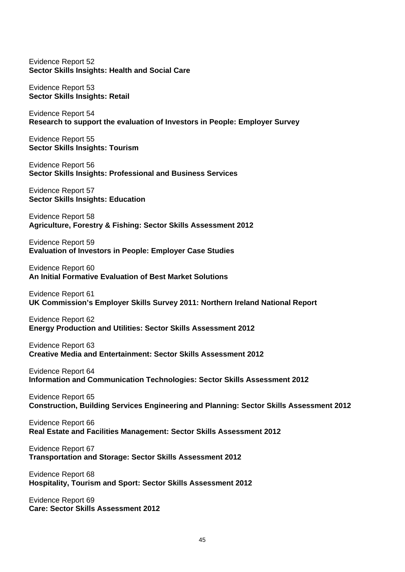#### Evidence Report 52 **Sector Skills Insights: Health and Social Care**

Evidence Report 53 **Sector Skills Insights: Retail** 

Evidence Report 54 **Research to support the evaluation of Investors in People: Employer Survey** 

Evidence Report 55 **Sector Skills Insights: Tourism** 

Evidence Report 56 **Sector Skills Insights: Professional and Business Services** 

Evidence Report 57 **Sector Skills Insights: Education** 

Evidence Report 58 **Agriculture, Forestry & Fishing: Sector Skills Assessment 2012** 

Evidence Report 59 **Evaluation of Investors in People: Employer Case Studies** 

Evidence Report 60 **An Initial Formative Evaluation of Best Market Solutions** 

Evidence Report 61 **UK Commission's Employer Skills Survey 2011: Northern Ireland National Report** 

Evidence Report 62 **Energy Production and Utilities: Sector Skills Assessment 2012** 

Evidence Report 63 **Creative Media and Entertainment: Sector Skills Assessment 2012** 

Evidence Report 64 **Information and Communication Technologies: Sector Skills Assessment 2012** 

Evidence Report 65 **Construction, Building Services Engineering and Planning: Sector Skills Assessment 2012** 

Evidence Report 66 **Real Estate and Facilities Management: Sector Skills Assessment 2012** 

Evidence Report 67 **Transportation and Storage: Sector Skills Assessment 2012** 

Evidence Report 68 **Hospitality, Tourism and Sport: Sector Skills Assessment 2012** 

Evidence Report 69 **Care: Sector Skills Assessment 2012**